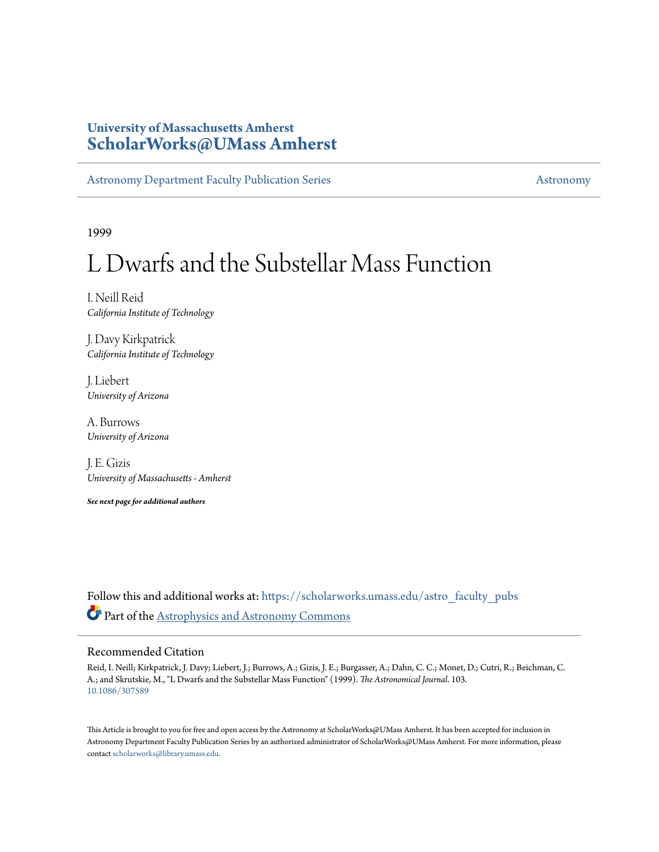# **University of Massachusetts Amherst [ScholarWorks@UMass Amherst](https://scholarworks.umass.edu?utm_source=scholarworks.umass.edu%2Fastro_faculty_pubs%2F103&utm_medium=PDF&utm_campaign=PDFCoverPages)**

[Astronomy Department Faculty Publication Series](https://scholarworks.umass.edu/astro_faculty_pubs?utm_source=scholarworks.umass.edu%2Fastro_faculty_pubs%2F103&utm_medium=PDF&utm_campaign=PDFCoverPages) [Astronomy](https://scholarworks.umass.edu/astro?utm_source=scholarworks.umass.edu%2Fastro_faculty_pubs%2F103&utm_medium=PDF&utm_campaign=PDFCoverPages)

1999

# L Dwarfs and the Substellar Mass Function

I. Neill Reid *California Institute of Technology*

J. Davy Kirkpatrick *California Institute of Technology*

J. Liebert *University of Arizona*

A. Burrows *University of Arizona*

J. E. Gizis *University of Massachusetts - Amherst*

*See next page for additional authors*

Follow this and additional works at: [https://scholarworks.umass.edu/astro\\_faculty\\_pubs](https://scholarworks.umass.edu/astro_faculty_pubs?utm_source=scholarworks.umass.edu%2Fastro_faculty_pubs%2F103&utm_medium=PDF&utm_campaign=PDFCoverPages) Part of the [Astrophysics and Astronomy Commons](http://network.bepress.com/hgg/discipline/123?utm_source=scholarworks.umass.edu%2Fastro_faculty_pubs%2F103&utm_medium=PDF&utm_campaign=PDFCoverPages)

# Recommended Citation

Reid, I. Neill; Kirkpatrick, J. Davy; Liebert, J.; Burrows, A.; Gizis, J. E.; Burgasser, A.; Dahn, C. C.; Monet, D.; Cutri, R.; Beichman, C. A.; and Skrutskie, M., "L Dwarfs and the Substellar Mass Function" (1999). *The Astronomical Journal*. 103. <10.1086/307589>

This Article is brought to you for free and open access by the Astronomy at ScholarWorks@UMass Amherst. It has been accepted for inclusion in Astronomy Department Faculty Publication Series by an authorized administrator of ScholarWorks@UMass Amherst. For more information, please contact [scholarworks@library.umass.edu](mailto:scholarworks@library.umass.edu).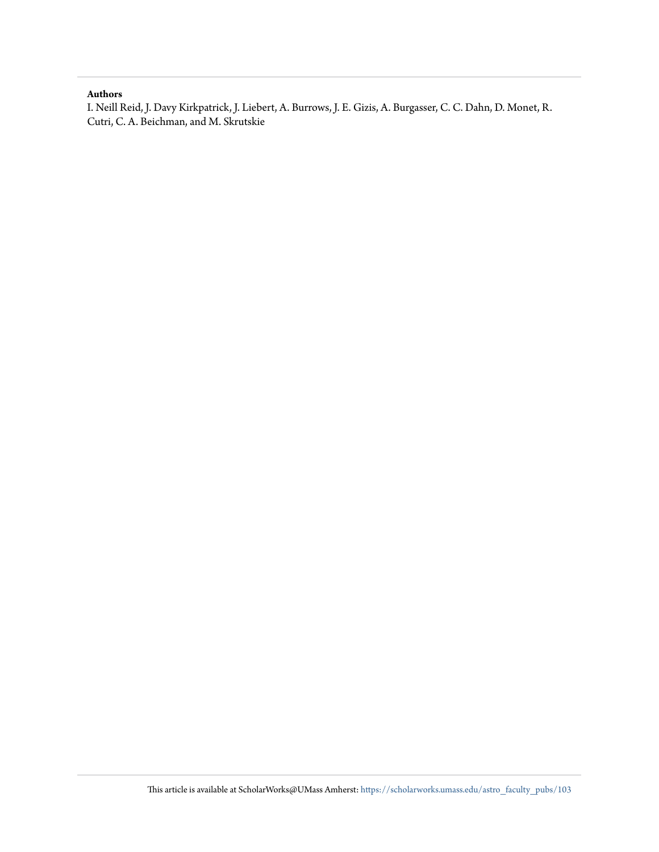# **Authors**

I. Neill Reid, J. Davy Kirkpatrick, J. Liebert, A. Burrows, J. E. Gizis, A. Burgasser, C. C. Dahn, D. Monet, R. Cutri, C. A. Beichman, and M. Skrutskie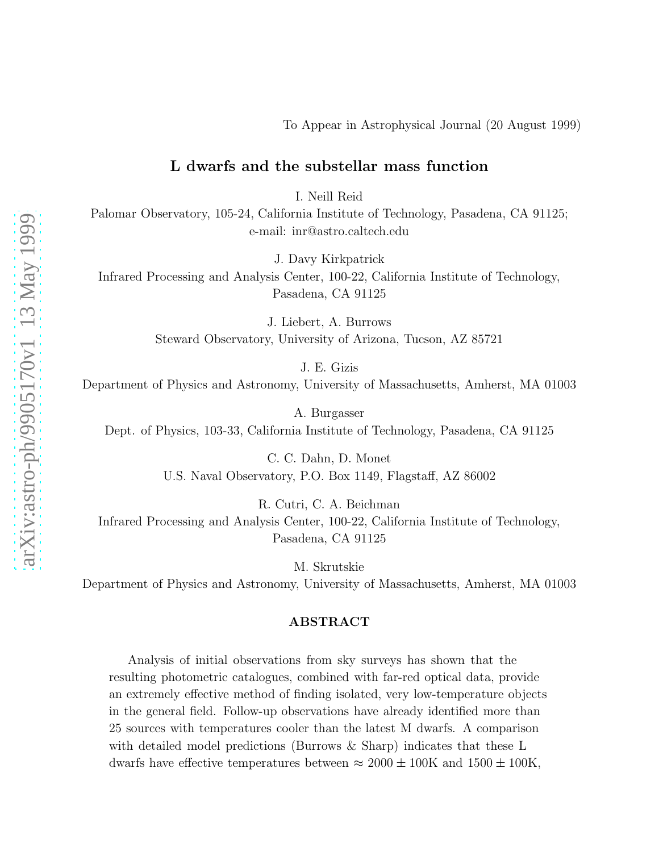# To Appear in Astrophysical Journal (20 August 1999)

# L dwarfs and the substellar mass function

I. Neill Reid

Palomar Observatory, 105-24, California Institute of Technology, Pasadena, CA 91125; e-mail: inr@astro.caltech.edu

J. Davy Kirkpatrick

Infrared Processing and Analysis Center, 100-22, California Institute of Technology, Pasadena, CA 91125

> J. Liebert, A. Burrows Steward Observatory, University of Arizona, Tucson, AZ 85721

> > J. E. Gizis

Department of Physics and Astronomy, University of Massachusetts, Amherst, MA 01003

A. Burgasser Dept. of Physics, 103-33, California Institute of Technology, Pasadena, CA 91125

> C. C. Dahn, D. Monet U.S. Naval Observatory, P.O. Box 1149, Flagstaff, AZ 86002

> > R. Cutri, C. A. Beichman

Infrared Processing and Analysis Center, 100-22, California Institute of Technology, Pasadena, CA 91125

M. Skrutskie

Department of Physics and Astronomy, University of Massachusetts, Amherst, MA 01003

# ABSTRACT

Analysis of initial observations from sky surveys has shown that the resulting photometric catalogues, combined with far-red optical data, provide an extremely effective method of finding isolated, very low-temperature objects in the general field. Follow-up observations have already identified more than 25 sources with temperatures cooler than the latest M dwarfs. A comparison with detailed model predictions (Burrows & Sharp) indicates that these L dwarfs have effective temperatures between  $\approx 2000 \pm 100$ K and  $1500 \pm 100$ K,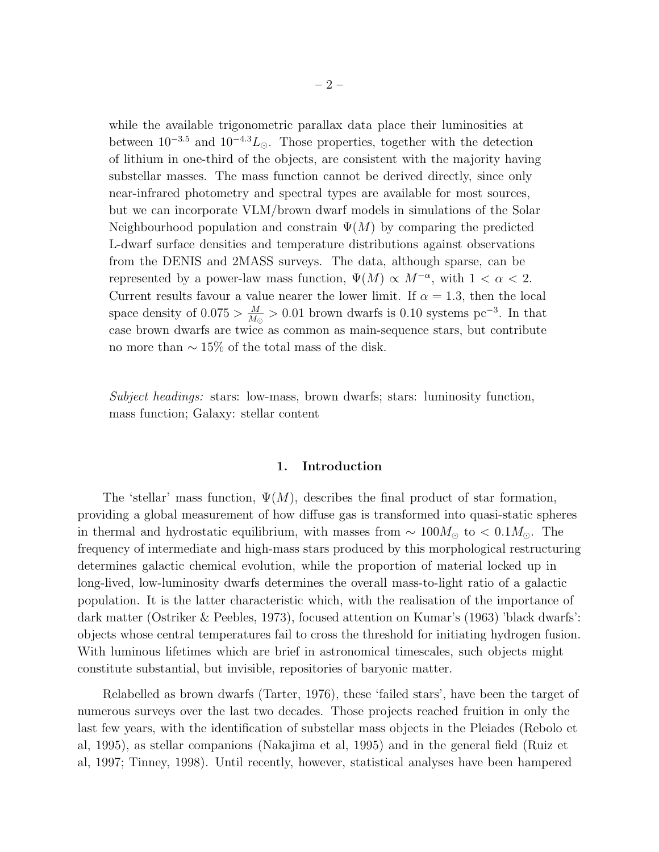while the available trigonometric parallax data place their luminosities at between  $10^{-3.5}$  and  $10^{-4.3}L_{\odot}$ . Those properties, together with the detection of lithium in one-third of the objects, are consistent with the majority having substellar masses. The mass function cannot be derived directly, since only near-infrared photometry and spectral types are available for most sources, but we can incorporate VLM/brown dwarf models in simulations of the Solar Neighbourhood population and constrain  $\Psi(M)$  by comparing the predicted L-dwarf surface densities and temperature distributions against observations from the DENIS and 2MASS surveys. The data, although sparse, can be represented by a power-law mass function,  $\Psi(M) \propto M^{-\alpha}$ , with  $1 < \alpha < 2$ . Current results favour a value nearer the lower limit. If  $\alpha = 1.3$ , then the local space density of  $0.075 > \frac{M}{M}$  $\frac{M}{M_{\odot}} > 0.01$  brown dwarfs is 0.10 systems pc<sup>-3</sup>. In that case brown dwarfs are twice as common as main-sequence stars, but contribute no more than  $\sim 15\%$  of the total mass of the disk.

Subject headings: stars: low-mass, brown dwarfs; stars: luminosity function, mass function; Galaxy: stellar content

# 1. Introduction

The 'stellar' mass function,  $\Psi(M)$ , describes the final product of star formation, providing a global measurement of how diffuse gas is transformed into quasi-static spheres in thermal and hydrostatic equilibrium, with masses from  $\sim 100 M_{\odot}$  to  $< 0.1 M_{\odot}$ . The frequency of intermediate and high-mass stars produced by this morphological restructuring determines galactic chemical evolution, while the proportion of material locked up in long-lived, low-luminosity dwarfs determines the overall mass-to-light ratio of a galactic population. It is the latter characteristic which, with the realisation of the importance of dark matter (Ostriker & Peebles, 1973), focused attention on Kumar's (1963) 'black dwarfs': objects whose central temperatures fail to cross the threshold for initiating hydrogen fusion. With luminous lifetimes which are brief in astronomical timescales, such objects might constitute substantial, but invisible, repositories of baryonic matter.

Relabelled as brown dwarfs (Tarter, 1976), these 'failed stars', have been the target of numerous surveys over the last two decades. Those projects reached fruition in only the last few years, with the identification of substellar mass objects in the Pleiades (Rebolo et al, 1995), as stellar companions (Nakajima et al, 1995) and in the general field (Ruiz et al, 1997; Tinney, 1998). Until recently, however, statistical analyses have been hampered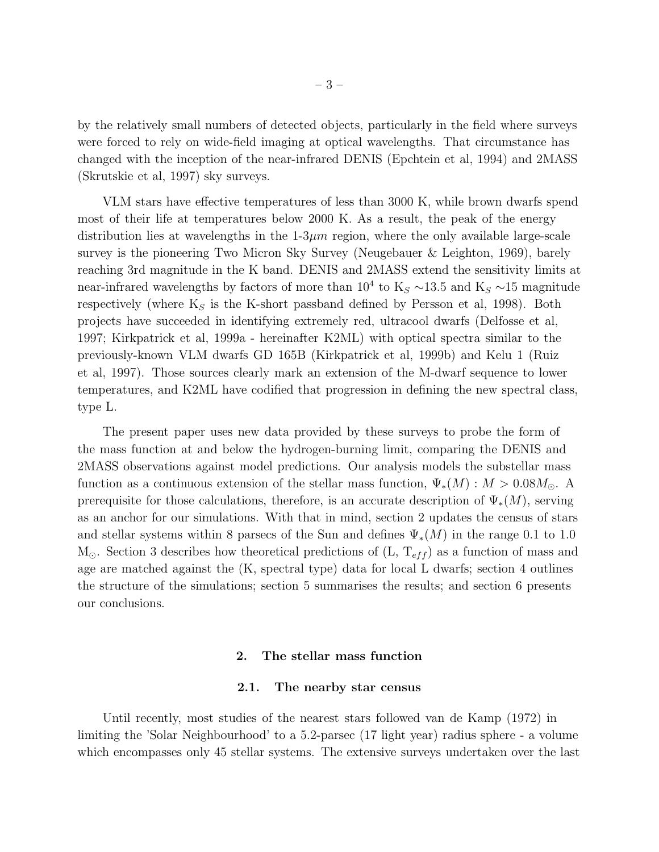by the relatively small numbers of detected objects, particularly in the field where surveys were forced to rely on wide-field imaging at optical wavelengths. That circumstance has changed with the inception of the near-infrared DENIS (Epchtein et al, 1994) and 2MASS (Skrutskie et al, 1997) sky surveys.

VLM stars have effective temperatures of less than 3000 K, while brown dwarfs spend most of their life at temperatures below 2000 K. As a result, the peak of the energy distribution lies at wavelengths in the  $1-3\mu m$  region, where the only available large-scale survey is the pioneering Two Micron Sky Survey (Neugebauer & Leighton, 1969), barely reaching 3rd magnitude in the K band. DENIS and 2MASS extend the sensitivity limits at near-infrared wavelengths by factors of more than  $10^4$  to K<sub>S</sub> ∼13.5 and K<sub>S</sub> ∼15 magnitude respectively (where  $K_S$  is the K-short passband defined by Persson et al, 1998). Both projects have succeeded in identifying extremely red, ultracool dwarfs (Delfosse et al, 1997; Kirkpatrick et al, 1999a - hereinafter K2ML) with optical spectra similar to the previously-known VLM dwarfs GD 165B (Kirkpatrick et al, 1999b) and Kelu 1 (Ruiz et al, 1997). Those sources clearly mark an extension of the M-dwarf sequence to lower temperatures, and K2ML have codified that progression in defining the new spectral class, type L.

The present paper uses new data provided by these surveys to probe the form of the mass function at and below the hydrogen-burning limit, comparing the DENIS and 2MASS observations against model predictions. Our analysis models the substellar mass function as a continuous extension of the stellar mass function,  $\Psi_*(M)$  :  $M > 0.08M_{\odot}$ . A prerequisite for those calculations, therefore, is an accurate description of  $\Psi_*(M)$ , serving as an anchor for our simulations. With that in mind, section 2 updates the census of stars and stellar systems within 8 parsecs of the Sun and defines  $\Psi_*(M)$  in the range 0.1 to 1.0  $M_{\odot}$ . Section 3 describes how theoretical predictions of  $(L, T_{eff})$  as a function of mass and age are matched against the (K, spectral type) data for local L dwarfs; section 4 outlines the structure of the simulations; section 5 summarises the results; and section 6 presents our conclusions.

# 2. The stellar mass function

# 2.1. The nearby star census

Until recently, most studies of the nearest stars followed van de Kamp (1972) in limiting the 'Solar Neighbourhood' to a 5.2-parsec (17 light year) radius sphere - a volume which encompasses only 45 stellar systems. The extensive surveys undertaken over the last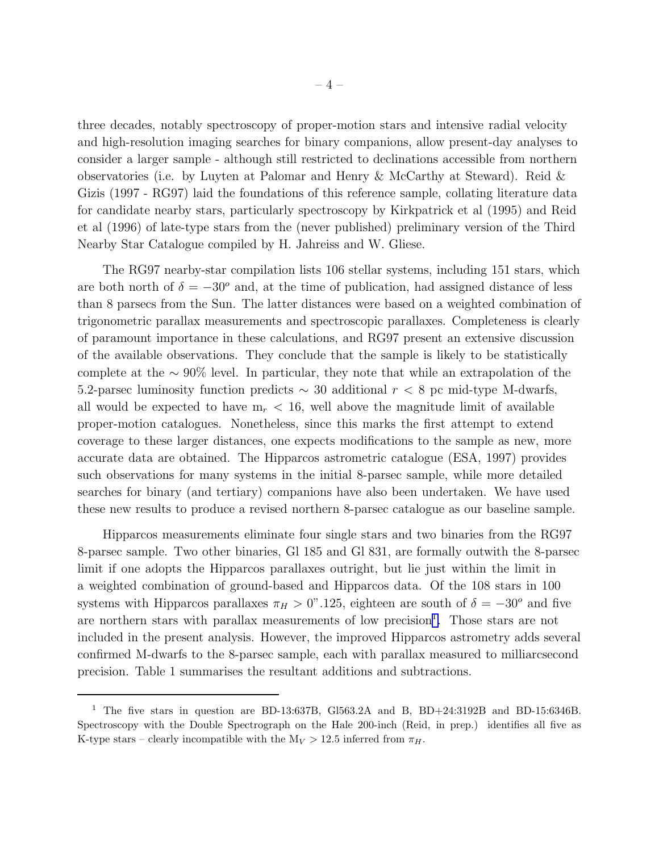three decades, notably spectroscopy of proper-motion stars and intensive radial velocity and high-resolution imaging searches for binary companions, allow present-day analyses to consider a larger sample - although still restricted to declinations accessible from northern observatories (i.e. by Luyten at Palomar and Henry & McCarthy at Steward). Reid & Gizis (1997 - RG97) laid the foundations of this reference sample, collating literature data for candidate nearby stars, particularly spectroscopy by Kirkpatrick et al (1995) and Reid et al (1996) of late-type stars from the (never published) preliminary version of the Third Nearby Star Catalogue compiled by H. Jahreiss and W. Gliese.

The RG97 nearby-star compilation lists 106 stellar systems, including 151 stars, which are both north of  $\delta = -30^{\circ}$  and, at the time of publication, had assigned distance of less than 8 parsecs from the Sun. The latter distances were based on a weighted combination of trigonometric parallax measurements and spectroscopic parallaxes. Completeness is clearly of paramount importance in these calculations, and RG97 present an extensive discussion of the available observations. They conclude that the sample is likely to be statistically complete at the ∼ 90% level. In particular, they note that while an extrapolation of the 5.2-parsec luminosity function predicts  $\sim$  30 additional  $r < 8$  pc mid-type M-dwarfs, all would be expected to have  $m_r < 16$ , well above the magnitude limit of available proper-motion catalogues. Nonetheless, since this marks the first attempt to extend coverage to these larger distances, one expects modifications to the sample as new, more accurate data are obtained. The Hipparcos astrometric catalogue (ESA, 1997) provides such observations for many systems in the initial 8-parsec sample, while more detailed searches for binary (and tertiary) companions have also been undertaken. We have used these new results to produce a revised northern 8-parsec catalogue as our baseline sample.

Hipparcos measurements eliminate four single stars and two binaries from the RG97 8-parsec sample. Two other binaries, Gl 185 and Gl 831, are formally outwith the 8-parsec limit if one adopts the Hipparcos parallaxes outright, but lie just within the limit in a weighted combination of ground-based and Hipparcos data. Of the 108 stars in 100 systems with Hipparcos parallaxes  $\pi_H > 0$ ".125, eighteen are south of  $\delta = -30^{\circ}$  and five are northern stars with parallax measurements of low precision<sup>1</sup>. Those stars are not included in the present analysis. However, the improved Hipparcos astrometry adds several confirmed M-dwarfs to the 8-parsec sample, each with parallax measured to milliarcsecond precision. Table 1 summarises the resultant additions and subtractions.

<sup>&</sup>lt;sup>1</sup> The five stars in question are BD-13:637B, Gl563.2A and B, BD+24:3192B and BD-15:6346B. Spectroscopy with the Double Spectrograph on the Hale 200-inch (Reid, in prep.) identifies all five as K-type stars – clearly incompatible with the  $M_V > 12.5$  inferred from  $\pi_H$ .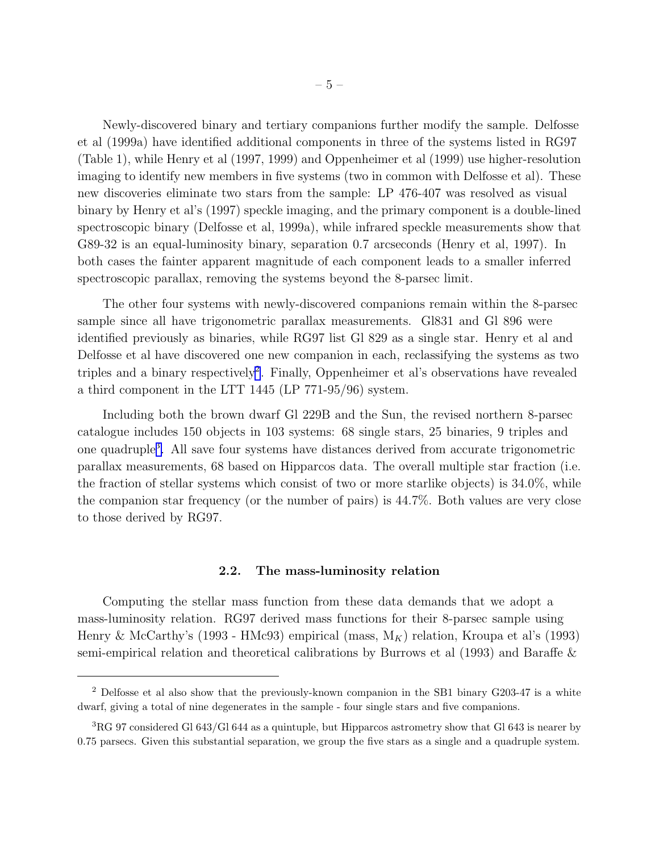Newly-discovered binary and tertiary companions further modify the sample. Delfosse et al (1999a) have identified additional components in three of the systems listed in RG97 (Table 1), while Henry et al (1997, 1999) and Oppenheimer et al (1999) use higher-resolution imaging to identify new members in five systems (two in common with Delfosse et al). These new discoveries eliminate two stars from the sample: LP 476-407 was resolved as visual binary by Henry et al's (1997) speckle imaging, and the primary component is a double-lined spectroscopic binary (Delfosse et al, 1999a), while infrared speckle measurements show that G89-32 is an equal-luminosity binary, separation 0.7 arcseconds (Henry et al, 1997). In both cases the fainter apparent magnitude of each component leads to a smaller inferred spectroscopic parallax, removing the systems beyond the 8-parsec limit.

The other four systems with newly-discovered companions remain within the 8-parsec sample since all have trigonometric parallax measurements. Gl831 and Gl 896 were identified previously as binaries, while RG97 list Gl 829 as a single star. Henry et al and Delfosse et al have discovered one new companion in each, reclassifying the systems as two triples and a binary respectively<sup>2</sup>. Finally, Oppenheimer et al's observations have revealed a third component in the LTT 1445 (LP 771-95/96) system.

Including both the brown dwarf Gl 229B and the Sun, the revised northern 8-parsec catalogue includes 150 objects in 103 systems: 68 single stars, 25 binaries, 9 triples and one quadruple<sup>3</sup>. All save four systems have distances derived from accurate trigonometric parallax measurements, 68 based on Hipparcos data. The overall multiple star fraction (i.e. the fraction of stellar systems which consist of two or more starlike objects) is 34.0%, while the companion star frequency (or the number of pairs) is 44.7%. Both values are very close to those derived by RG97.

# 2.2. The mass-luminosity relation

Computing the stellar mass function from these data demands that we adopt a mass-luminosity relation. RG97 derived mass functions for their 8-parsec sample using Henry & McCarthy's (1993 - HMc93) empirical (mass,  $M_K$ ) relation, Kroupa et al's (1993) semi-empirical relation and theoretical calibrations by Burrows et al (1993) and Baraffe &

<sup>&</sup>lt;sup>2</sup> Delfosse et al also show that the previously-known companion in the SB1 binary G203-47 is a white dwarf, giving a total of nine degenerates in the sample - four single stars and five companions.

 ${}^{3}$ RG 97 considered Gl 643/Gl 644 as a quintuple, but Hipparcos astrometry show that Gl 643 is nearer by 0.75 parsecs. Given this substantial separation, we group the five stars as a single and a quadruple system.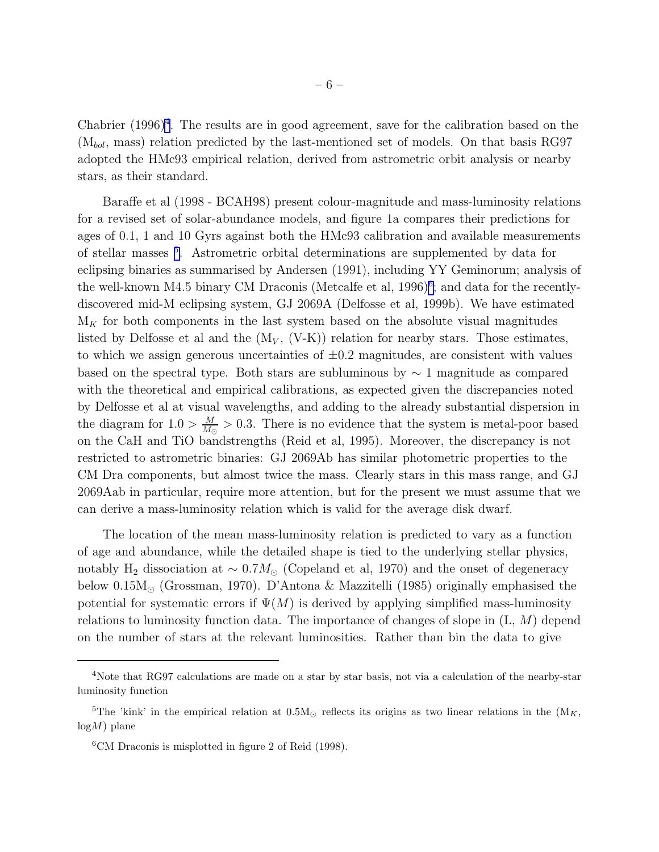Chabrier  $(1996)^4$ . The results are in good agreement, save for the calibration based on the  $(M_{bol},$  mass) relation predicted by the last-mentioned set of models. On that basis RG97 adopted the HMc93 empirical relation, derived from astrometric orbit analysis or nearby stars, as their standard.

Baraffe et al (1998 - BCAH98) present colour-magnitude and mass-luminosity relations for a revised set of solar-abundance models, and figure 1a compares their predictions for ages of 0.1, 1 and 10 Gyrs against both the HMc93 calibration and available measurements of stellar masses <sup>5</sup> . Astrometric orbital determinations are supplemented by data for eclipsing binaries as summarised by Andersen (1991), including YY Geminorum; analysis of the well-known M4.5 binary CM Draconis (Metcalfe et al, 1996)<sup>6</sup>; and data for the recentlydiscovered mid-M eclipsing system, GJ 2069A (Delfosse et al, 1999b). We have estimated  $\mathcal{M}_K$  for both components in the last system based on the absolute visual magnitudes listed by Delfosse et al and the  $(M_V, (V-K))$  relation for nearby stars. Those estimates, to which we assign generous uncertainties of  $\pm 0.2$  magnitudes, are consistent with values based on the spectral type. Both stars are subluminous by  $\sim 1$  magnitude as compared with the theoretical and empirical calibrations, as expected given the discrepancies noted by Delfosse et al at visual wavelengths, and adding to the already substantial dispersion in the diagram for  $1.0 > \frac{M}{M}$  $\frac{M}{M_{\odot}} > 0.3$ . There is no evidence that the system is metal-poor based on the CaH and TiO bandstrengths (Reid et al, 1995). Moreover, the discrepancy is not restricted to astrometric binaries: GJ 2069Ab has similar photometric properties to the CM Dra components, but almost twice the mass. Clearly stars in this mass range, and GJ 2069Aab in particular, require more attention, but for the present we must assume that we can derive a mass-luminosity relation which is valid for the average disk dwarf.

The location of the mean mass-luminosity relation is predicted to vary as a function of age and abundance, while the detailed shape is tied to the underlying stellar physics, notably H<sub>2</sub> dissociation at  $\sim 0.7 M_{\odot}$  (Copeland et al, 1970) and the onset of degeneracy below 0.15M<sup>⊙</sup> (Grossman, 1970). D'Antona & Mazzitelli (1985) originally emphasised the potential for systematic errors if  $\Psi(M)$  is derived by applying simplified mass-luminosity relations to luminosity function data. The importance of changes of slope in  $(L, M)$  depend on the number of stars at the relevant luminosities. Rather than bin the data to give

<sup>4</sup>Note that RG97 calculations are made on a star by star basis, not via a calculation of the nearby-star luminosity function

<sup>&</sup>lt;sup>5</sup>The 'kink' in the empirical relation at  $0.5M_{\odot}$  reflects its origins as two linear relations in the  $(M_K,$  $log M$ ) plane

 ${}^{6}$ CM Draconis is misplotted in figure 2 of Reid (1998).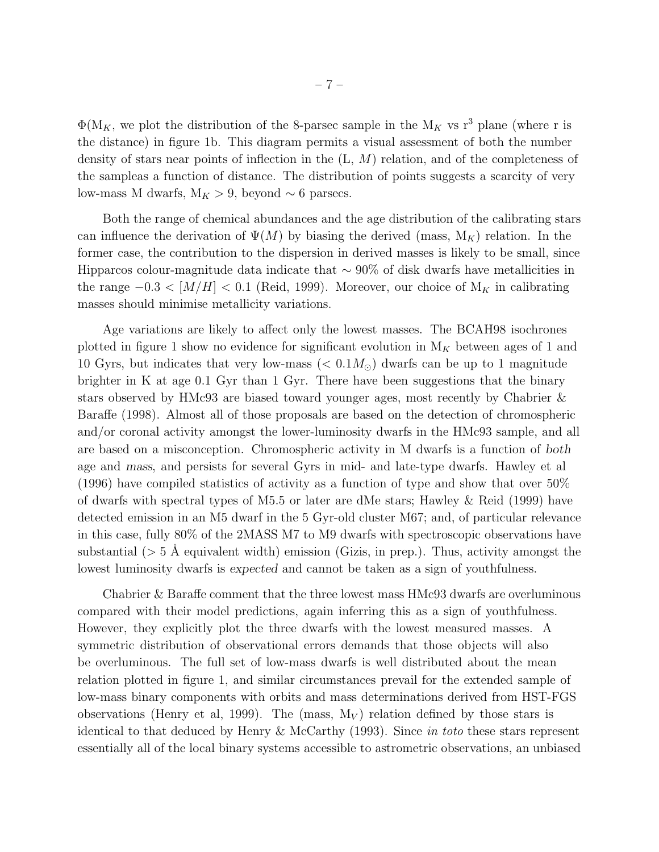$\Phi(M_K)$ , we plot the distribution of the 8-parsec sample in the  $M_K$  vs r<sup>3</sup> plane (where r is the distance) in figure 1b. This diagram permits a visual assessment of both the number density of stars near points of inflection in the (L, M) relation, and of the completeness of the sampleas a function of distance. The distribution of points suggests a scarcity of very low-mass M dwarfs,  $M_K > 9$ , beyond  $\sim 6$  parsecs.

Both the range of chemical abundances and the age distribution of the calibrating stars can influence the derivation of  $\Psi(M)$  by biasing the derived (mass,  $M_K$ ) relation. In the former case, the contribution to the dispersion in derived masses is likely to be small, since Hipparcos colour-magnitude data indicate that  $\sim$  90% of disk dwarfs have metallicities in the range  $-0.3 < [M/H] < 0.1$  (Reid, 1999). Moreover, our choice of  $M_K$  in calibrating masses should minimise metallicity variations.

Age variations are likely to affect only the lowest masses. The BCAH98 isochrones plotted in figure 1 show no evidence for significant evolution in  $M_K$  between ages of 1 and 10 Gyrs, but indicates that very low-mass ( $< 0.1 M_{\odot}$ ) dwarfs can be up to 1 magnitude brighter in K at age 0.1 Gyr than 1 Gyr. There have been suggestions that the binary stars observed by HMc93 are biased toward younger ages, most recently by Chabrier & Baraffe (1998). Almost all of those proposals are based on the detection of chromospheric and/or coronal activity amongst the lower-luminosity dwarfs in the HMc93 sample, and all are based on a misconception. Chromospheric activity in M dwarfs is a function of both age and mass, and persists for several Gyrs in mid- and late-type dwarfs. Hawley et al (1996) have compiled statistics of activity as a function of type and show that over 50% of dwarfs with spectral types of M5.5 or later are dMe stars; Hawley  $\&$  Reid (1999) have detected emission in an M5 dwarf in the 5 Gyr-old cluster M67; and, of particular relevance in this case, fully 80% of the 2MASS M7 to M9 dwarfs with spectroscopic observations have substantial  $(> 5 \text{ Å}$  equivalent width) emission (Gizis, in prep.). Thus, activity amongst the lowest luminosity dwarfs is expected and cannot be taken as a sign of youthfulness.

Chabrier & Baraffe comment that the three lowest mass HMc93 dwarfs are overluminous compared with their model predictions, again inferring this as a sign of youthfulness. However, they explicitly plot the three dwarfs with the lowest measured masses. A symmetric distribution of observational errors demands that those objects will also be overluminous. The full set of low-mass dwarfs is well distributed about the mean relation plotted in figure 1, and similar circumstances prevail for the extended sample of low-mass binary components with orbits and mass determinations derived from HST-FGS observations (Henry et al, 1999). The (mass,  $M_V$ ) relation defined by those stars is identical to that deduced by Henry & McCarthy (1993). Since in toto these stars represent essentially all of the local binary systems accessible to astrometric observations, an unbiased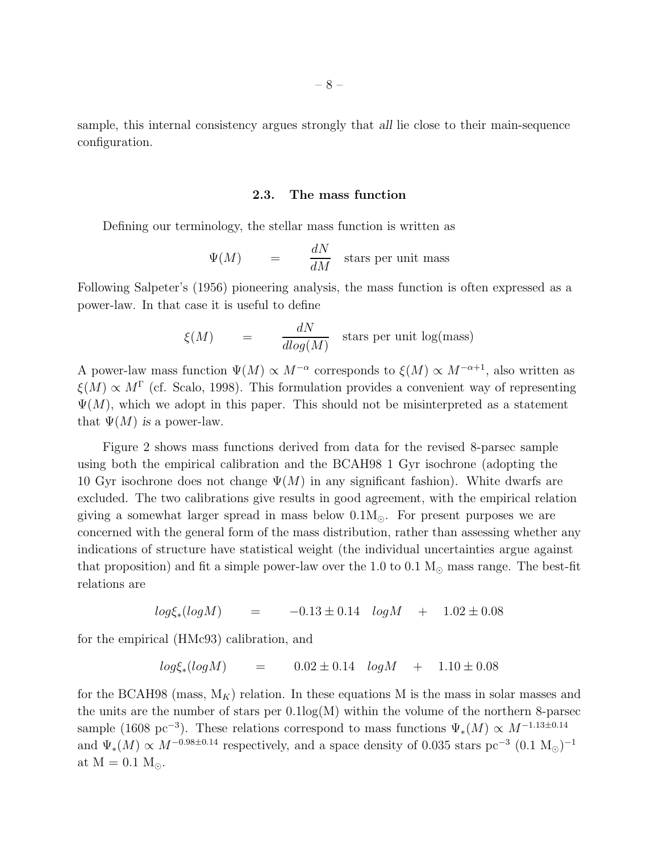sample, this internal consistency argues strongly that all lie close to their main-sequence configuration.

# 2.3. The mass function

Defining our terminology, the stellar mass function is written as

$$
\Psi(M) = \frac{dN}{dM} \quad \text{stars per unit mass}
$$

Following Salpeter's (1956) pioneering analysis, the mass function is often expressed as a power-law. In that case it is useful to define

$$
\xi(M) = \frac{dN}{dlog(M)} \quad \text{stars per unit log(mass)}
$$

A power-law mass function  $\Psi(M) \propto M^{-\alpha}$  corresponds to  $\xi(M) \propto M^{-\alpha+1}$ , also written as  $\xi(M) \propto M^{\Gamma}$  (cf. Scalo, 1998). This formulation provides a convenient way of representing  $\Psi(M)$ , which we adopt in this paper. This should not be misinterpreted as a statement that  $\Psi(M)$  is a power-law.

Figure 2 shows mass functions derived from data for the revised 8-parsec sample using both the empirical calibration and the BCAH98 1 Gyr isochrone (adopting the 10 Gyr isochrone does not change  $\Psi(M)$  in any significant fashion). White dwarfs are excluded. The two calibrations give results in good agreement, with the empirical relation giving a somewhat larger spread in mass below  $0.1M_{\odot}$ . For present purposes we are concerned with the general form of the mass distribution, rather than assessing whether any indications of structure have statistical weight (the individual uncertainties argue against that proposition) and fit a simple power-law over the 1.0 to 0.1  $M_{\odot}$  mass range. The best-fit relations are

$$
log\xi_*(logM)
$$
 =  $-0.13 \pm 0.14$   $logM$  +  $1.02 \pm 0.08$ 

for the empirical (HMc93) calibration, and

$$
log\xi_*(logM)
$$
 = 0.02 ± 0.14  $logM$  + 1.10 ± 0.08

for the BCAH98 (mass,  $M_K$ ) relation. In these equations M is the mass in solar masses and the units are the number of stars per  $0.1\text{log}(M)$  within the volume of the northern 8-parsec sample (1608 pc<sup>-3</sup>). These relations correspond to mass functions  $\Psi_*(M) \propto M^{-1.13 \pm 0.14}$ and  $\Psi_*(M) \propto M^{-0.98 \pm 0.14}$  respectively, and a space density of 0.035 stars pc<sup>-3</sup> (0.1 M<sub>☉</sub>)<sup>-1</sup> at  $M = 0.1 M_{\odot}$ .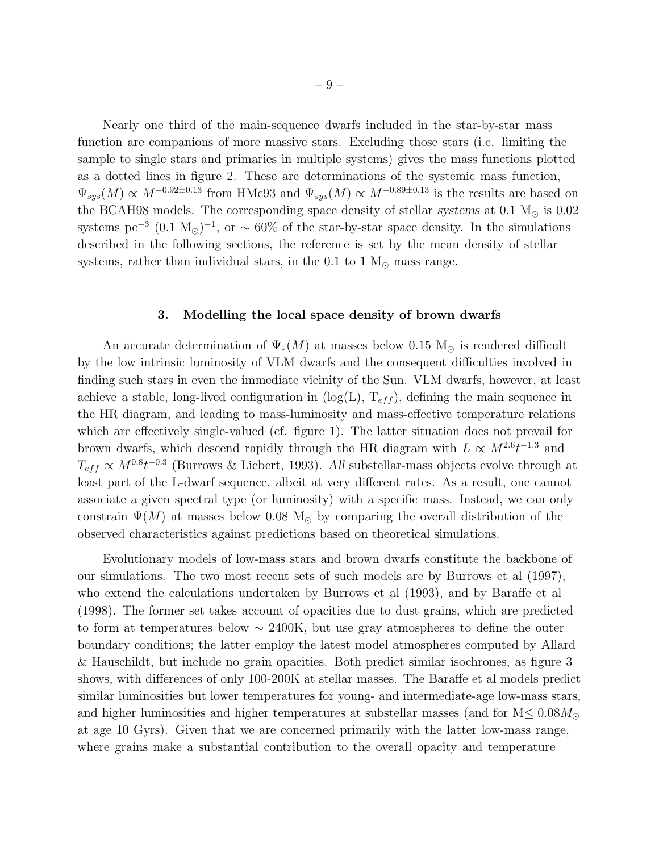Nearly one third of the main-sequence dwarfs included in the star-by-star mass function are companions of more massive stars. Excluding those stars (i.e. limiting the sample to single stars and primaries in multiple systems) gives the mass functions plotted as a dotted lines in figure 2. These are determinations of the systemic mass function,  $\Psi_{sys}(M) \propto M^{-0.92 \pm 0.13}$  from HMc93 and  $\Psi_{sys}(M) \propto M^{-0.89 \pm 0.13}$  is the results are based on the BCAH98 models. The corresponding space density of stellar systems at  $0.1 M_{\odot}$  is  $0.02$ systems pc<sup>-3</sup> (0.1 M<sub>☉</sub>)<sup>-1</sup>, or ~ 60% of the star-by-star space density. In the simulations described in the following sections, the reference is set by the mean density of stellar systems, rather than individual stars, in the 0.1 to 1  $M_{\odot}$  mass range.

# 3. Modelling the local space density of brown dwarfs

An accurate determination of  $\Psi_*(M)$  at masses below 0.15 M<sub>☉</sub> is rendered difficult by the low intrinsic luminosity of VLM dwarfs and the consequent difficulties involved in finding such stars in even the immediate vicinity of the Sun. VLM dwarfs, however, at least achieve a stable, long-lived configuration in  $(\log(L), T_{eff})$ , defining the main sequence in the HR diagram, and leading to mass-luminosity and mass-effective temperature relations which are effectively single-valued (cf. figure 1). The latter situation does not prevail for brown dwarfs, which descend rapidly through the HR diagram with  $L \propto M^{2.6} t^{-1.3}$  and  $T_{eff} \propto M^{0.8} t^{-0.3}$  (Burrows & Liebert, 1993). All substellar-mass objects evolve through at least part of the L-dwarf sequence, albeit at very different rates. As a result, one cannot associate a given spectral type (or luminosity) with a specific mass. Instead, we can only constrain  $\Psi(M)$  at masses below 0.08 M<sub>o</sub> by comparing the overall distribution of the observed characteristics against predictions based on theoretical simulations.

Evolutionary models of low-mass stars and brown dwarfs constitute the backbone of our simulations. The two most recent sets of such models are by Burrows et al (1997), who extend the calculations undertaken by Burrows et al (1993), and by Baraffe et al (1998). The former set takes account of opacities due to dust grains, which are predicted to form at temperatures below  $\sim$  2400K, but use gray atmospheres to define the outer boundary conditions; the latter employ the latest model atmospheres computed by Allard & Hauschildt, but include no grain opacities. Both predict similar isochrones, as figure 3 shows, with differences of only 100-200K at stellar masses. The Baraffe et al models predict similar luminosities but lower temperatures for young- and intermediate-age low-mass stars, and higher luminosities and higher temperatures at substellar masses (and for  $M \leq 0.08 M_{\odot}$ ) at age 10 Gyrs). Given that we are concerned primarily with the latter low-mass range, where grains make a substantial contribution to the overall opacity and temperature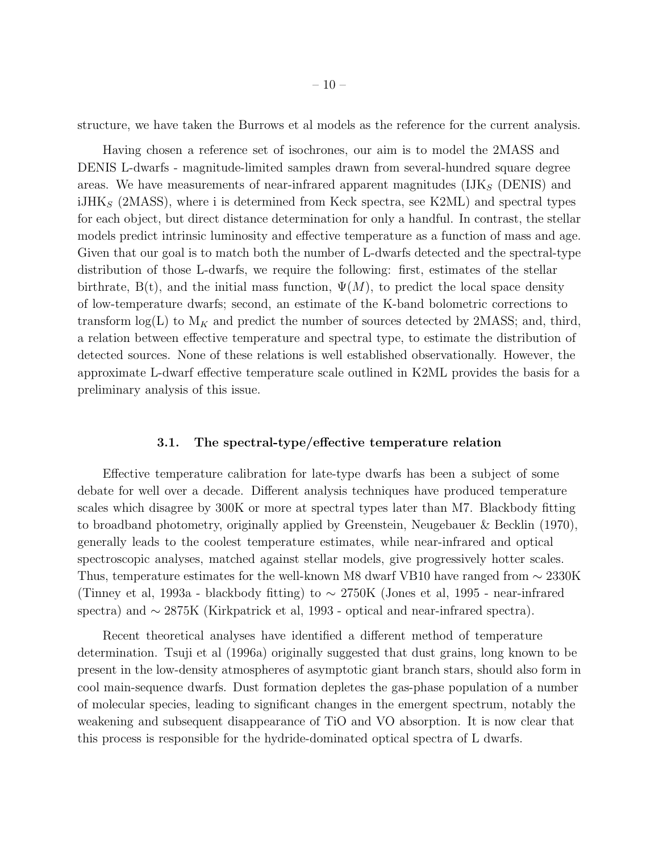structure, we have taken the Burrows et al models as the reference for the current analysis.

Having chosen a reference set of isochrones, our aim is to model the 2MASS and DENIS L-dwarfs - magnitude-limited samples drawn from several-hundred square degree areas. We have measurements of near-infrared apparent magnitudes  $(IIK<sub>S</sub> (DENIS)$  and  $iJHK<sub>S</sub>$  (2MASS), where i is determined from Keck spectra, see K2ML) and spectral types for each object, but direct distance determination for only a handful. In contrast, the stellar models predict intrinsic luminosity and effective temperature as a function of mass and age. Given that our goal is to match both the number of L-dwarfs detected and the spectral-type distribution of those L-dwarfs, we require the following: first, estimates of the stellar birthrate,  $B(t)$ , and the initial mass function,  $\Psi(M)$ , to predict the local space density of low-temperature dwarfs; second, an estimate of the K-band bolometric corrections to transform  $log(L)$  to  $M_K$  and predict the number of sources detected by 2MASS; and, third, a relation between effective temperature and spectral type, to estimate the distribution of detected sources. None of these relations is well established observationally. However, the approximate L-dwarf effective temperature scale outlined in K2ML provides the basis for a preliminary analysis of this issue.

# 3.1. The spectral-type/effective temperature relation

Effective temperature calibration for late-type dwarfs has been a subject of some debate for well over a decade. Different analysis techniques have produced temperature scales which disagree by 300K or more at spectral types later than M7. Blackbody fitting to broadband photometry, originally applied by Greenstein, Neugebauer & Becklin (1970), generally leads to the coolest temperature estimates, while near-infrared and optical spectroscopic analyses, matched against stellar models, give progressively hotter scales. Thus, temperature estimates for the well-known M8 dwarf VB10 have ranged from ∼ 2330K (Tinney et al, 1993a - blackbody fitting) to ∼ 2750K (Jones et al, 1995 - near-infrared spectra) and ∼ 2875K (Kirkpatrick et al, 1993 - optical and near-infrared spectra).

Recent theoretical analyses have identified a different method of temperature determination. Tsuji et al (1996a) originally suggested that dust grains, long known to be present in the low-density atmospheres of asymptotic giant branch stars, should also form in cool main-sequence dwarfs. Dust formation depletes the gas-phase population of a number of molecular species, leading to significant changes in the emergent spectrum, notably the weakening and subsequent disappearance of TiO and VO absorption. It is now clear that this process is responsible for the hydride-dominated optical spectra of L dwarfs.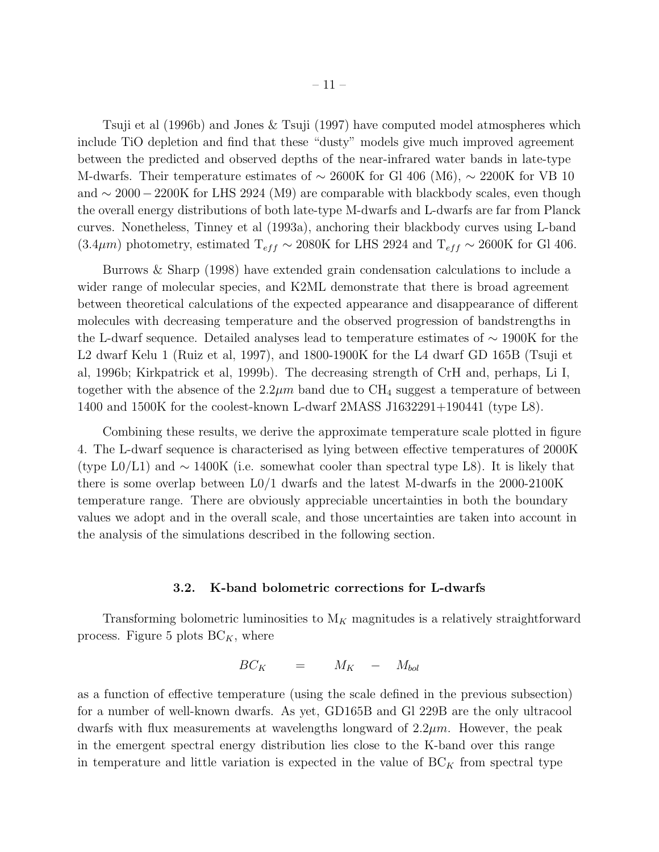Tsuji et al (1996b) and Jones & Tsuji (1997) have computed model atmospheres which include TiO depletion and find that these "dusty" models give much improved agreement between the predicted and observed depths of the near-infrared water bands in late-type M-dwarfs. Their temperature estimates of  $\sim 2600$ K for Gl 406 (M6),  $\sim 2200$ K for VB 10 and  $\sim 2000-2200$ K for LHS 2924 (M9) are comparable with blackbody scales, even though the overall energy distributions of both late-type M-dwarfs and L-dwarfs are far from Planck curves. Nonetheless, Tinney et al (1993a), anchoring their blackbody curves using L-band (3.4 $\mu$ m) photometry, estimated T<sub>eff</sub> ~ 2080K for LHS 2924 and T<sub>eff</sub> ~ 2600K for Gl 406.

Burrows & Sharp (1998) have extended grain condensation calculations to include a wider range of molecular species, and K2ML demonstrate that there is broad agreement between theoretical calculations of the expected appearance and disappearance of different molecules with decreasing temperature and the observed progression of bandstrengths in the L-dwarf sequence. Detailed analyses lead to temperature estimates of ∼ 1900K for the L2 dwarf Kelu 1 (Ruiz et al, 1997), and 1800-1900K for the L4 dwarf GD 165B (Tsuji et al, 1996b; Kirkpatrick et al, 1999b). The decreasing strength of CrH and, perhaps, Li I, together with the absence of the  $2.2\mu m$  band due to CH<sub>4</sub> suggest a temperature of between 1400 and 1500K for the coolest-known L-dwarf 2MASS J1632291+190441 (type L8).

Combining these results, we derive the approximate temperature scale plotted in figure 4. The L-dwarf sequence is characterised as lying between effective temperatures of 2000K (type L0/L1) and  $\sim 1400K$  (i.e. somewhat cooler than spectral type L8). It is likely that there is some overlap between  $L_0/1$  dwarfs and the latest M-dwarfs in the 2000-2100K temperature range. There are obviously appreciable uncertainties in both the boundary values we adopt and in the overall scale, and those uncertainties are taken into account in the analysis of the simulations described in the following section.

# 3.2. K-band bolometric corrections for L-dwarfs

Transforming bolometric luminosities to  $M_K$  magnitudes is a relatively straightforward process. Figure 5 plots  $BC_K$ , where

$$
BC_K = M_K - M_{bol}
$$

as a function of effective temperature (using the scale defined in the previous subsection) for a number of well-known dwarfs. As yet, GD165B and Gl 229B are the only ultracool dwarfs with flux measurements at wavelengths longward of  $2.2\mu m$ . However, the peak in the emergent spectral energy distribution lies close to the K-band over this range in temperature and little variation is expected in the value of  $BC_K$  from spectral type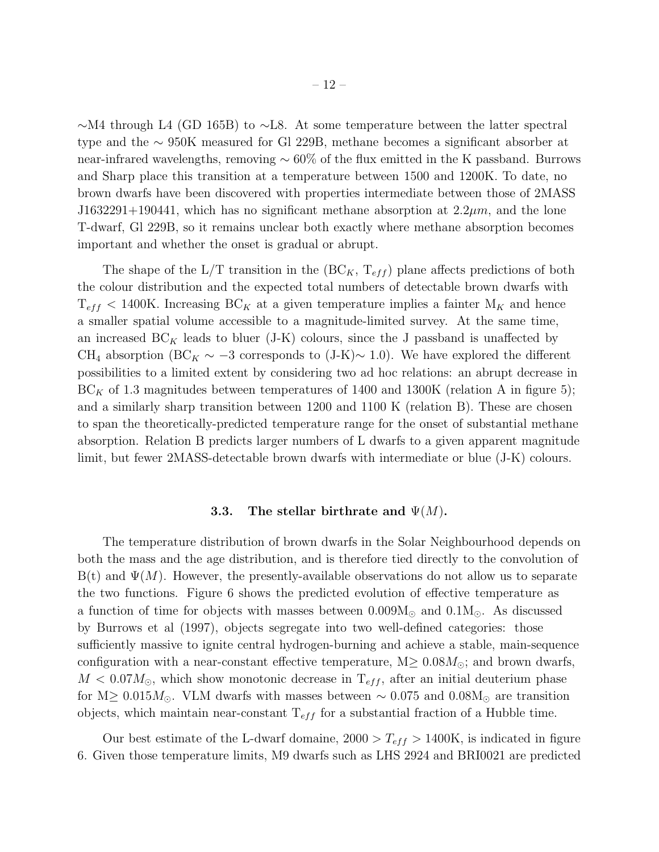– 12 –

∼M4 through L4 (GD 165B) to ∼L8. At some temperature between the latter spectral type and the ∼ 950K measured for Gl 229B, methane becomes a significant absorber at near-infrared wavelengths, removing ∼ 60% of the flux emitted in the K passband. Burrows and Sharp place this transition at a temperature between 1500 and 1200K. To date, no brown dwarfs have been discovered with properties intermediate between those of 2MASS J1632291+190441, which has no significant methane absorption at  $2.2 \mu m$ , and the lone T-dwarf, Gl 229B, so it remains unclear both exactly where methane absorption becomes important and whether the onset is gradual or abrupt.

The shape of the L/T transition in the  $(BC_K, T_{eff})$  plane affects predictions of both the colour distribution and the expected total numbers of detectable brown dwarfs with  $T_{eff}$  < 1400K. Increasing BC<sub>K</sub> at a given temperature implies a fainter  $M_K$  and hence a smaller spatial volume accessible to a magnitude-limited survey. At the same time, an increased  $BC_K$  leads to bluer (J-K) colours, since the J passband is unaffected by CH<sub>4</sub> absorption (BC<sub>K</sub> ∼ −3 corresponds to (J-K)~ 1.0). We have explored the different possibilities to a limited extent by considering two ad hoc relations: an abrupt decrease in  $BC_K$  of 1.3 magnitudes between temperatures of 1400 and 1300K (relation A in figure 5); and a similarly sharp transition between 1200 and 1100 K (relation B). These are chosen to span the theoretically-predicted temperature range for the onset of substantial methane absorption. Relation B predicts larger numbers of L dwarfs to a given apparent magnitude limit, but fewer 2MASS-detectable brown dwarfs with intermediate or blue (J-K) colours.

# 3.3. The stellar birthrate and  $\Psi(M)$ .

The temperature distribution of brown dwarfs in the Solar Neighbourhood depends on both the mass and the age distribution, and is therefore tied directly to the convolution of  $B(t)$  and  $\Psi(M)$ . However, the presently-available observations do not allow us to separate the two functions. Figure 6 shows the predicted evolution of effective temperature as a function of time for objects with masses between  $0.009M_{\odot}$  and  $0.1M_{\odot}$ . As discussed by Burrows et al (1997), objects segregate into two well-defined categories: those sufficiently massive to ignite central hydrogen-burning and achieve a stable, main-sequence configuration with a near-constant effective temperature,  $M \geq 0.08 M_{\odot}$ ; and brown dwarfs,  $M < 0.07 M_{\odot}$ , which show monotonic decrease in  $T_{eff}$ , after an initial deuterium phase for M≥ 0.015 $M_{\odot}$ . VLM dwarfs with masses between ~ 0.075 and 0.08 $M_{\odot}$  are transition objects, which maintain near-constant  $T_{eff}$  for a substantial fraction of a Hubble time.

Our best estimate of the L-dwarf domaine,  $2000 > T_{eff} > 1400$ K, is indicated in figure 6. Given those temperature limits, M9 dwarfs such as LHS 2924 and BRI0021 are predicted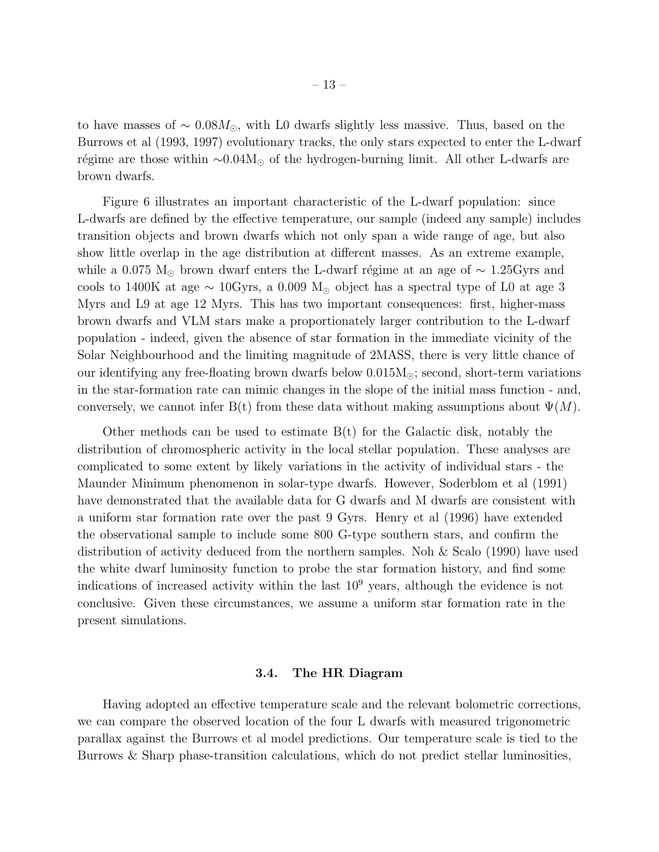to have masses of  $\sim 0.08 M_{\odot}$ , with L0 dwarfs slightly less massive. Thus, based on the Burrows et al (1993, 1997) evolutionary tracks, the only stars expected to enter the L-dwarf régime are those within  $\sim 0.04M_{\odot}$  of the hydrogen-burning limit. All other L-dwarfs are brown dwarfs.

Figure 6 illustrates an important characteristic of the L-dwarf population: since L-dwarfs are defined by the effective temperature, our sample (indeed any sample) includes transition objects and brown dwarfs which not only span a wide range of age, but also show little overlap in the age distribution at different masses. As an extreme example, while a 0.075 M<sub>☉</sub> brown dwarf enters the L-dwarf régime at an age of  $\sim 1.25$ Gyrs and cools to 1400K at age  $\sim 10 \text{Gyrs}$ , a 0.009 M<sub>☉</sub> object has a spectral type of L0 at age 3 Myrs and L9 at age 12 Myrs. This has two important consequences: first, higher-mass brown dwarfs and VLM stars make a proportionately larger contribution to the L-dwarf population - indeed, given the absence of star formation in the immediate vicinity of the Solar Neighbourhood and the limiting magnitude of 2MASS, there is very little chance of our identifying any free-floating brown dwarfs below  $0.015M_{\odot}$ ; second, short-term variations in the star-formation rate can mimic changes in the slope of the initial mass function - and, conversely, we cannot infer B(t) from these data without making assumptions about  $\Psi(M)$ .

Other methods can be used to estimate  $B(t)$  for the Galactic disk, notably the distribution of chromospheric activity in the local stellar population. These analyses are complicated to some extent by likely variations in the activity of individual stars - the Maunder Minimum phenomenon in solar-type dwarfs. However, Soderblom et al (1991) have demonstrated that the available data for G dwarfs and M dwarfs are consistent with a uniform star formation rate over the past 9 Gyrs. Henry et al (1996) have extended the observational sample to include some 800 G-type southern stars, and confirm the distribution of activity deduced from the northern samples. Noh & Scalo (1990) have used the white dwarf luminosity function to probe the star formation history, and find some indications of increased activity within the last  $10<sup>9</sup>$  years, although the evidence is not conclusive. Given these circumstances, we assume a uniform star formation rate in the present simulations.

# 3.4. The HR Diagram

Having adopted an effective temperature scale and the relevant bolometric corrections, we can compare the observed location of the four L dwarfs with measured trigonometric parallax against the Burrows et al model predictions. Our temperature scale is tied to the Burrows & Sharp phase-transition calculations, which do not predict stellar luminosities,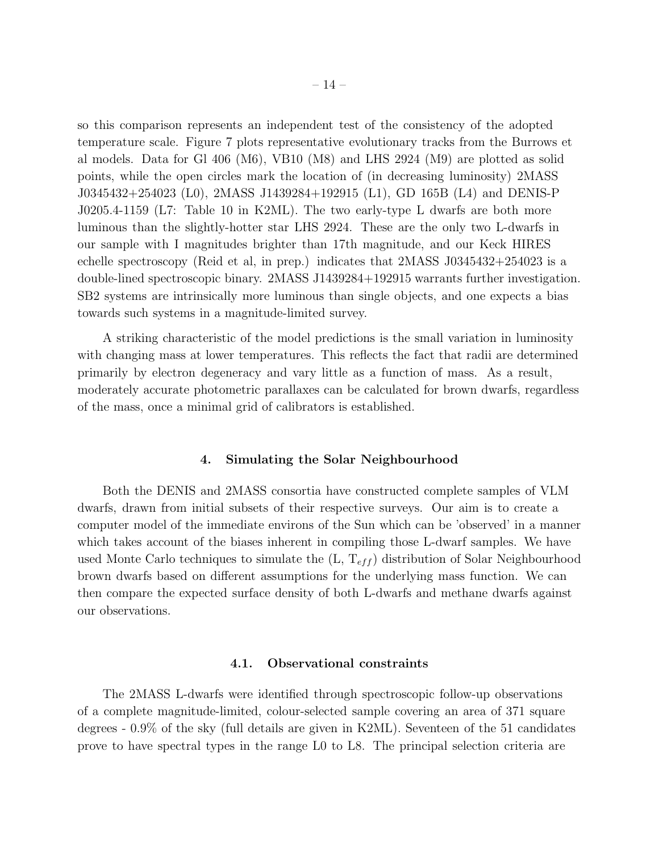so this comparison represents an independent test of the consistency of the adopted temperature scale. Figure 7 plots representative evolutionary tracks from the Burrows et al models. Data for Gl 406 (M6), VB10 (M8) and LHS 2924 (M9) are plotted as solid points, while the open circles mark the location of (in decreasing luminosity) 2MASS J0345432+254023 (L0), 2MASS J1439284+192915 (L1), GD 165B (L4) and DENIS-P J0205.4-1159 (L7: Table 10 in K2ML). The two early-type L dwarfs are both more luminous than the slightly-hotter star LHS 2924. These are the only two L-dwarfs in our sample with I magnitudes brighter than 17th magnitude, and our Keck HIRES echelle spectroscopy (Reid et al, in prep.) indicates that 2MASS J0345432+254023 is a double-lined spectroscopic binary. 2MASS J1439284+192915 warrants further investigation. SB2 systems are intrinsically more luminous than single objects, and one expects a bias towards such systems in a magnitude-limited survey.

A striking characteristic of the model predictions is the small variation in luminosity with changing mass at lower temperatures. This reflects the fact that radii are determined primarily by electron degeneracy and vary little as a function of mass. As a result, moderately accurate photometric parallaxes can be calculated for brown dwarfs, regardless of the mass, once a minimal grid of calibrators is established.

# 4. Simulating the Solar Neighbourhood

Both the DENIS and 2MASS consortia have constructed complete samples of VLM dwarfs, drawn from initial subsets of their respective surveys. Our aim is to create a computer model of the immediate environs of the Sun which can be 'observed' in a manner which takes account of the biases inherent in compiling those L-dwarf samples. We have used Monte Carlo techniques to simulate the  $(L, T<sub>eff</sub>)$  distribution of Solar Neighbourhood brown dwarfs based on different assumptions for the underlying mass function. We can then compare the expected surface density of both L-dwarfs and methane dwarfs against our observations.

# 4.1. Observational constraints

The 2MASS L-dwarfs were identified through spectroscopic follow-up observations of a complete magnitude-limited, colour-selected sample covering an area of 371 square degrees - 0.9% of the sky (full details are given in K2ML). Seventeen of the 51 candidates prove to have spectral types in the range L0 to L8. The principal selection criteria are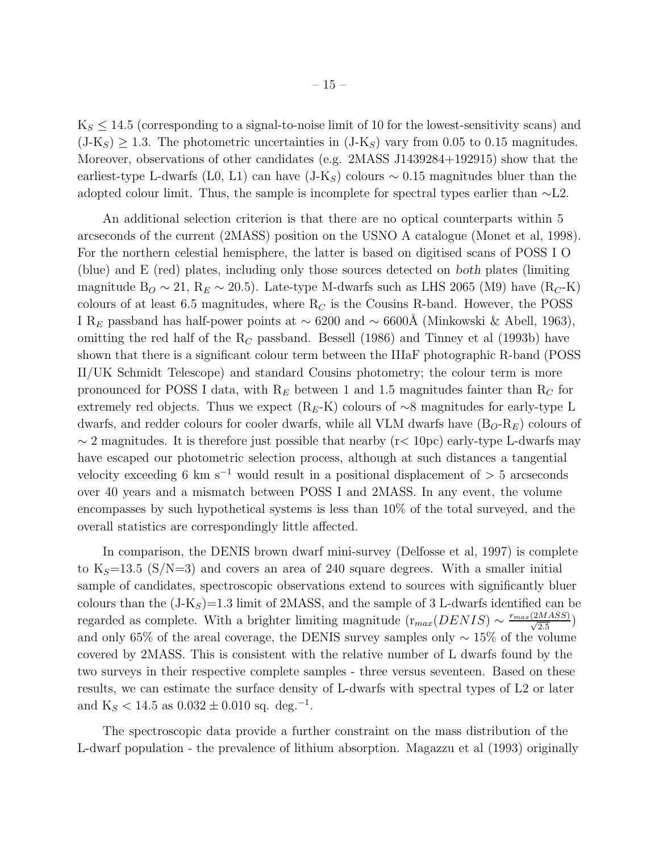$K_S \leq 14.5$  (corresponding to a signal-to-noise limit of 10 for the lowest-sensitivity scans) and  $(J-K<sub>S</sub>) \ge 1.3$ . The photometric uncertainties in  $(J-K<sub>S</sub>)$  vary from 0.05 to 0.15 magnitudes. Moreover, observations of other candidates (e.g. 2MASS J1439284+192915) show that the earliest-type L-dwarfs (L0, L1) can have  $(J-K<sub>S</sub>)$  colours ~ 0.15 magnitudes bluer than the adopted colour limit. Thus, the sample is incomplete for spectral types earlier than ∼L2.

An additional selection criterion is that there are no optical counterparts within 5 arcseconds of the current (2MASS) position on the USNO A catalogue (Monet et al, 1998). For the northern celestial hemisphere, the latter is based on digitised scans of POSS I O (blue) and E (red) plates, including only those sources detected on both plates (limiting magnitude B<sub>O</sub> ~ 21, R<sub>E</sub> ~ 20.5). Late-type M-dwarfs such as LHS 2065 (M9) have  $(R_C-K)$ colours of at least 6.5 magnitudes, where  $R_C$  is the Cousins R-band. However, the POSS I R<sub>E</sub> passband has half-power points at ~ 6200 and ~ 6600Å (Minkowski & Abell, 1963), omitting the red half of the  $R_C$  passband. Bessell (1986) and Tinney et al (1993b) have shown that there is a significant colour term between the IIIaF photographic R-band (POSS II/UK Schmidt Telescope) and standard Cousins photometry; the colour term is more pronounced for POSS I data, with  $R_E$  between 1 and 1.5 magnitudes fainter than  $R_C$  for extremely red objects. Thus we expect (R<sub>E</sub>-K) colours of ∼8 magnitudes for early-type L dwarfs, and redder colours for cooler dwarfs, while all VLM dwarfs have  $(B<sub>O</sub>-R<sub>E</sub>)$  colours of  $\sim$  2 magnitudes. It is therefore just possible that nearby (r< 10pc) early-type L-dwarfs may have escaped our photometric selection process, although at such distances a tangential velocity exceeding 6 km s<sup>-1</sup> would result in a positional displacement of  $> 5$  arcseconds over 40 years and a mismatch between POSS I and 2MASS. In any event, the volume encompasses by such hypothetical systems is less than 10% of the total surveyed, and the overall statistics are correspondingly little affected.

In comparison, the DENIS brown dwarf mini-survey (Delfosse et al, 1997) is complete to  $K_S=13.5$  (S/N=3) and covers an area of 240 square degrees. With a smaller initial sample of candidates, spectroscopic observations extend to sources with significantly bluer colours than the  $(J-K<sub>S</sub>)=1.3$  limit of 2MASS, and the sample of 3 L-dwarfs identified can be regarded as complete. With a brighter limiting magnitude  $(r_{max}(DENIS) \sim \frac{r_{max}(2MASS)}{\sqrt{2.5}})$ and only 65% of the areal coverage, the DENIS survey samples only  $\sim 15\%$  of the volume covered by 2MASS. This is consistent with the relative number of L dwarfs found by the two surveys in their respective complete samples - three versus seventeen. Based on these results, we can estimate the surface density of L-dwarfs with spectral types of L2 or later and K<sub>S</sub> < 14.5 as  $0.032 \pm 0.010$  sq. deg.<sup>-1</sup>.

The spectroscopic data provide a further constraint on the mass distribution of the L-dwarf population - the prevalence of lithium absorption. Magazzu et al (1993) originally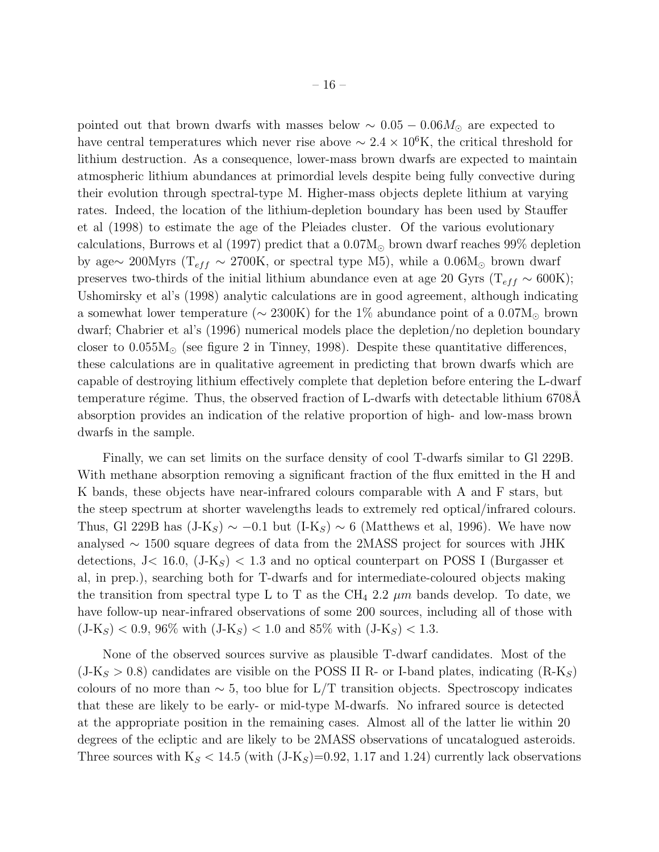pointed out that brown dwarfs with masses below  $\sim 0.05 - 0.06 M_{\odot}$  are expected to have central temperatures which never rise above  $\sim 2.4 \times 10^6$ K, the critical threshold for lithium destruction. As a consequence, lower-mass brown dwarfs are expected to maintain atmospheric lithium abundances at primordial levels despite being fully convective during their evolution through spectral-type M. Higher-mass objects deplete lithium at varying rates. Indeed, the location of the lithium-depletion boundary has been used by Stauffer et al (1998) to estimate the age of the Pleiades cluster. Of the various evolutionary calculations, Burrows et al (1997) predict that a  $0.07M_{\odot}$  brown dwarf reaches 99% depletion by age∼ 200Myrs ( $T_{eff}$  ~ 2700K, or spectral type M5), while a 0.06M<sub>⊙</sub> brown dwarf preserves two-thirds of the initial lithium abundance even at age 20 Gyrs ( $T_{eff} \sim 600K$ ); Ushomirsky et al's (1998) analytic calculations are in good agreement, although indicating a somewhat lower temperature ( $\sim$  2300K) for the 1% abundance point of a 0.07M<sub>⊙</sub> brown dwarf; Chabrier et al's (1996) numerical models place the depletion/no depletion boundary closer to  $0.055M_{\odot}$  (see figure 2 in Tinney, 1998). Despite these quantitative differences, these calculations are in qualitative agreement in predicting that brown dwarfs which are capable of destroying lithium effectively complete that depletion before entering the L-dwarf temperature régime. Thus, the observed fraction of L-dwarfs with detectable lithium 6708Å absorption provides an indication of the relative proportion of high- and low-mass brown dwarfs in the sample.

Finally, we can set limits on the surface density of cool T-dwarfs similar to Gl 229B. With methane absorption removing a significant fraction of the flux emitted in the H and K bands, these objects have near-infrared colours comparable with A and F stars, but the steep spectrum at shorter wavelengths leads to extremely red optical/infrared colours. Thus, Gl 229B has  $(J-K<sub>S</sub>) \sim -0.1$  but  $(I-K<sub>S</sub>) \sim 6$  (Matthews et al, 1996). We have now analysed ∼ 1500 square degrees of data from the 2MASS project for sources with JHK detections, J< 16.0,  $(J-K<sub>S</sub>)$  < 1.3 and no optical counterpart on POSS I (Burgasser et al, in prep.), searching both for T-dwarfs and for intermediate-coloured objects making the transition from spectral type L to T as the CH<sub>4</sub> 2.2  $\mu$ m bands develop. To date, we have follow-up near-infrared observations of some 200 sources, including all of those with  $(J-K_S) < 0.9, 96\%$  with  $(J-K_S) < 1.0$  and 85% with  $(J-K_S) < 1.3$ .

None of the observed sources survive as plausible T-dwarf candidates. Most of the  $(J-K<sub>S</sub> > 0.8)$  candidates are visible on the POSS II R- or I-band plates, indicating  $(R-K<sub>S</sub>)$ colours of no more than  $\sim 5$ , too blue for L/T transition objects. Spectroscopy indicates that these are likely to be early- or mid-type M-dwarfs. No infrared source is detected at the appropriate position in the remaining cases. Almost all of the latter lie within 20 degrees of the ecliptic and are likely to be 2MASS observations of uncatalogued asteroids. Three sources with  $K_S < 14.5$  (with  $(J-K_S)=0.92, 1.17,$  and 1.24) currently lack observations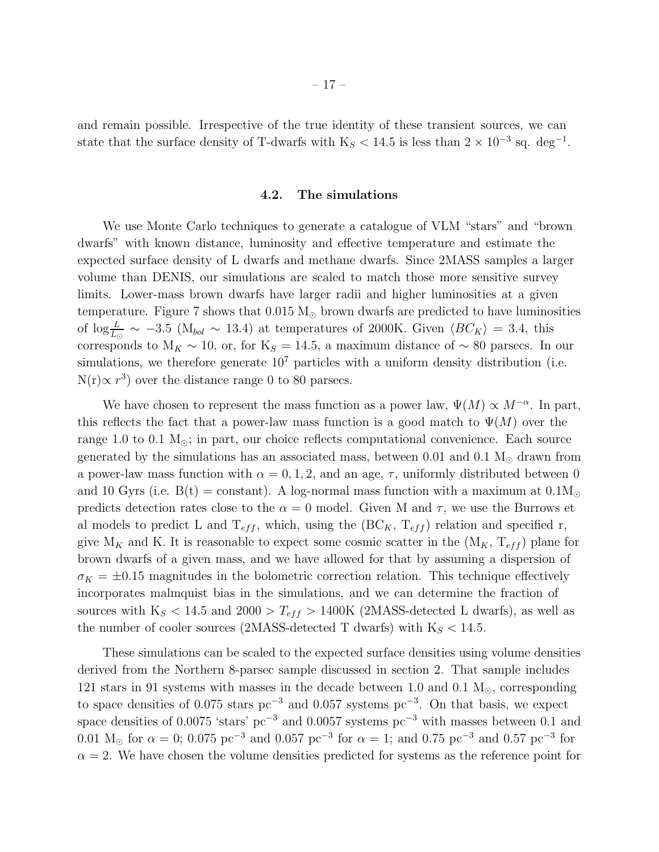and remain possible. Irrespective of the true identity of these transient sources, we can state that the surface density of T-dwarfs with  $K_S < 14.5$  is less than  $2 \times 10^{-3}$  sq. deg<sup>-1</sup>.

# 4.2. The simulations

We use Monte Carlo techniques to generate a catalogue of VLM "stars" and "brown" dwarfs" with known distance, luminosity and effective temperature and estimate the expected surface density of L dwarfs and methane dwarfs. Since 2MASS samples a larger volume than DENIS, our simulations are scaled to match those more sensitive survey limits. Lower-mass brown dwarfs have larger radii and higher luminosities at a given temperature. Figure 7 shows that  $0.015 M_{\odot}$  brown dwarfs are predicted to have luminosities of  $\log_{\overline{L}_{\odot}}$  ~ -3.5 (M<sub>bol</sub> ~ 13.4) at temperatures of 2000K. Given  $\langle BC_K \rangle = 3.4$ , this corresponds to  $M_K \sim 10$ , or, for K<sub>S</sub> = 14.5, a maximum distance of ~ 80 parsecs. In our simulations, we therefore generate  $10<sup>7</sup>$  particles with a uniform density distribution (i.e.  $N(r) \propto r^3$ ) over the distance range 0 to 80 parsecs.

We have chosen to represent the mass function as a power law,  $\Psi(M) \propto M^{-\alpha}$ . In part, this reflects the fact that a power-law mass function is a good match to  $\Psi(M)$  over the range 1.0 to 0.1  $M_{\odot}$ ; in part, our choice reflects computational convenience. Each source generated by the simulations has an associated mass, between 0.01 and 0.1  $M_{\odot}$  drawn from a power-law mass function with  $\alpha = 0, 1, 2$ , and an age,  $\tau$ , uniformly distributed between 0 and 10 Gyrs (i.e.  $B(t) = constant$ ). A log-normal mass function with a maximum at  $0.1M_{\odot}$ predicts detection rates close to the  $\alpha = 0$  model. Given M and  $\tau$ , we use the Burrows et al models to predict L and  $T_{eff}$ , which, using the  $(BC_K, T_{eff})$  relation and specified r, give  $M_K$  and K. It is reasonable to expect some cosmic scatter in the  $(M_K, T_{eff})$  plane for brown dwarfs of a given mass, and we have allowed for that by assuming a dispersion of  $\sigma_K = \pm 0.15$  magnitudes in the bolometric correction relation. This technique effectively incorporates malmquist bias in the simulations, and we can determine the fraction of sources with  $K_S < 14.5$  and  $2000 > T_{eff} > 1400K$  (2MASS-detected L dwarfs), as well as the number of cooler sources (2MASS-detected T dwarfs) with  $K_S < 14.5$ .

These simulations can be scaled to the expected surface densities using volume densities derived from the Northern 8-parsec sample discussed in section 2. That sample includes 121 stars in 91 systems with masses in the decade between 1.0 and 0.1  $M_{\odot}$ , corresponding to space densities of 0.075 stars  $pc^{-3}$  and 0.057 systems  $pc^{-3}$ . On that basis, we expect space densities of 0.0075 'stars' pc<sup>-3</sup> and 0.0057 systems pc<sup>-3</sup> with masses between 0.1 and 0.01 M<sub>☉</sub> for  $\alpha = 0$ ; 0.075 pc<sup>-3</sup> and 0.057 pc<sup>-3</sup> for  $\alpha = 1$ ; and 0.75 pc<sup>-3</sup> and 0.57 pc<sup>-3</sup> for  $\alpha = 2$ . We have chosen the volume densities predicted for systems as the reference point for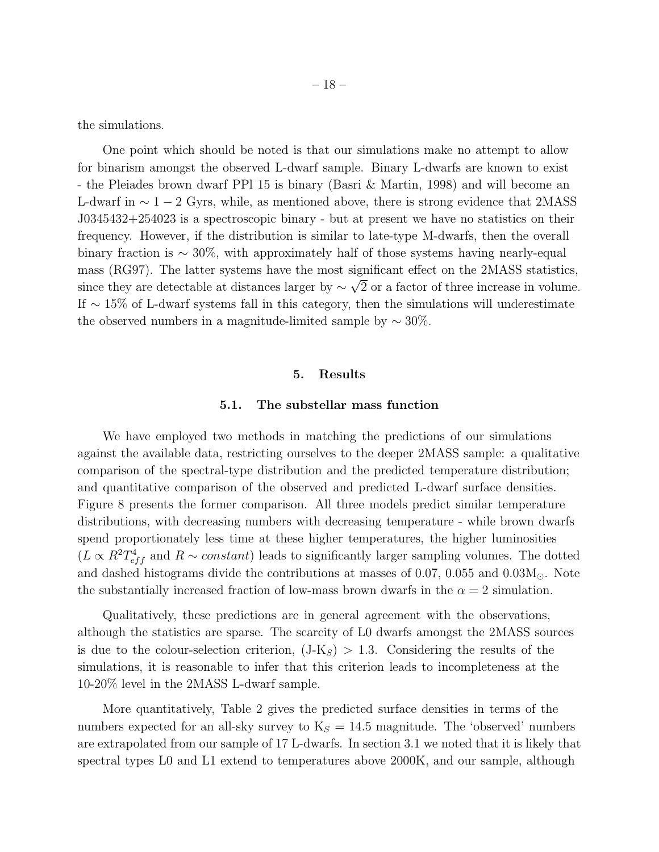the simulations.

One point which should be noted is that our simulations make no attempt to allow for binarism amongst the observed L-dwarf sample. Binary L-dwarfs are known to exist - the Pleiades brown dwarf PPl 15 is binary (Basri & Martin, 1998) and will become an L-dwarf in  $\sim 1-2$  Gyrs, while, as mentioned above, there is strong evidence that 2MASS J0345432+254023 is a spectroscopic binary - but at present we have no statistics on their frequency. However, if the distribution is similar to late-type M-dwarfs, then the overall binary fraction is  $\sim 30\%$ , with approximately half of those systems having nearly-equal mass (RG97). The latter systems have the most significant effect on the 2MASS statistics, since they are detectable at distances larger by  $\sim \sqrt{2}$  or a factor of three increase in volume. If  $\sim$  15% of L-dwarf systems fall in this category, then the simulations will underestimate the observed numbers in a magnitude-limited sample by  $\sim 30\%$ .

#### 5. Results

# 5.1. The substellar mass function

We have employed two methods in matching the predictions of our simulations against the available data, restricting ourselves to the deeper 2MASS sample: a qualitative comparison of the spectral-type distribution and the predicted temperature distribution; and quantitative comparison of the observed and predicted L-dwarf surface densities. Figure 8 presents the former comparison. All three models predict similar temperature distributions, with decreasing numbers with decreasing temperature - while brown dwarfs spend proportionately less time at these higher temperatures, the higher luminosities  $(L \propto R^2 T_{eff}^4$  and  $R \sim constant$ ) leads to significantly larger sampling volumes. The dotted and dashed histograms divide the contributions at masses of 0.07, 0.055 and  $0.03M_{\odot}$ . Note the substantially increased fraction of low-mass brown dwarfs in the  $\alpha = 2$  simulation.

Qualitatively, these predictions are in general agreement with the observations, although the statistics are sparse. The scarcity of L0 dwarfs amongst the 2MASS sources is due to the colour-selection criterion,  $(J-K<sub>S</sub>) > 1.3$ . Considering the results of the simulations, it is reasonable to infer that this criterion leads to incompleteness at the 10-20% level in the 2MASS L-dwarf sample.

More quantitatively, Table 2 gives the predicted surface densities in terms of the numbers expected for an all-sky survey to  $K_S = 14.5$  magnitude. The 'observed' numbers are extrapolated from our sample of 17 L-dwarfs. In section 3.1 we noted that it is likely that spectral types L0 and L1 extend to temperatures above 2000K, and our sample, although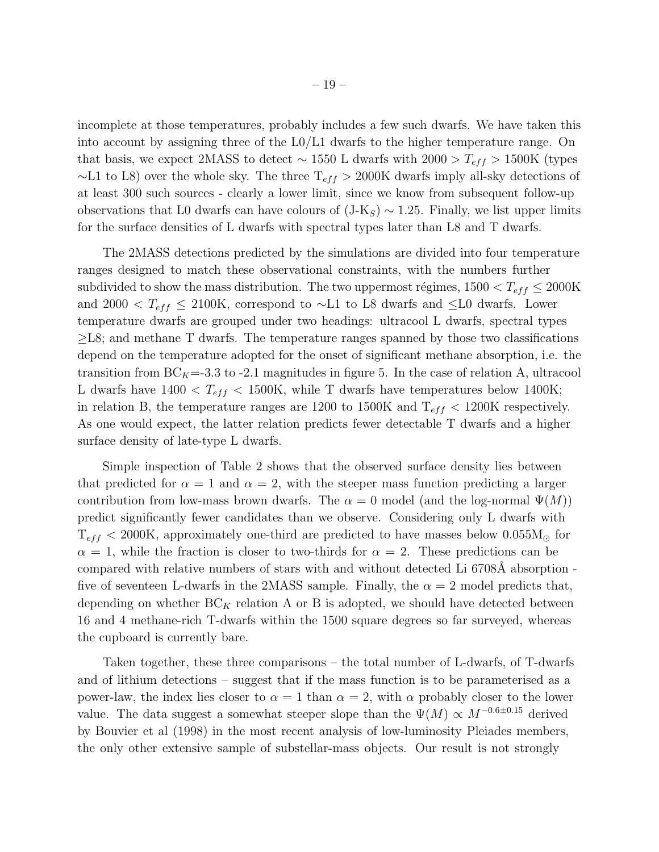incomplete at those temperatures, probably includes a few such dwarfs. We have taken this into account by assigning three of the L0/L1 dwarfs to the higher temperature range. On that basis, we expect 2MASS to detect ~ 1550 L dwarfs with 2000 >  $T_{eff}$  > 1500K (types  $~\sim$ L1 to L8) over the whole sky. The three  $T_{eff} > 2000$ K dwarfs imply all-sky detections of at least 300 such sources - clearly a lower limit, since we know from subsequent follow-up observations that L0 dwarfs can have colours of  $(J-K<sub>S</sub>) \sim 1.25$ . Finally, we list upper limits for the surface densities of L dwarfs with spectral types later than L8 and T dwarfs.

The 2MASS detections predicted by the simulations are divided into four temperature ranges designed to match these observational constraints, with the numbers further subdivided to show the mass distribution. The two uppermost régimes,  $1500 < T_{eff} \leq 2000$ K and 2000 <  $T_{eff} \leq 2100$ K, correspond to ∼L1 to L8 dwarfs and ≤L0 dwarfs. Lower temperature dwarfs are grouped under two headings: ultracool L dwarfs, spectral types ≥L8; and methane T dwarfs. The temperature ranges spanned by those two classifications depend on the temperature adopted for the onset of significant methane absorption, i.e. the transition from  $BC_K = 3.3$  to -2.1 magnitudes in figure 5. In the case of relation A, ultracool L dwarfs have  $1400 < T_{eff} < 1500$ K, while T dwarfs have temperatures below 1400K; in relation B, the temperature ranges are 1200 to 1500K and  $T_{eff}$  < 1200K respectively. As one would expect, the latter relation predicts fewer detectable T dwarfs and a higher surface density of late-type L dwarfs.

Simple inspection of Table 2 shows that the observed surface density lies between that predicted for  $\alpha = 1$  and  $\alpha = 2$ , with the steeper mass function predicting a larger contribution from low-mass brown dwarfs. The  $\alpha = 0$  model (and the log-normal  $\Psi(M)$ ) predict significantly fewer candidates than we observe. Considering only L dwarfs with  $T_{eff}$  < 2000K, approximately one-third are predicted to have masses below 0.055 $M_{\odot}$  for  $\alpha = 1$ , while the fraction is closer to two-thirds for  $\alpha = 2$ . These predictions can be compared with relative numbers of stars with and without detected Li 6708Å absorption five of seventeen L-dwarfs in the 2MASS sample. Finally, the  $\alpha = 2$  model predicts that, depending on whether  $BC_K$  relation A or B is adopted, we should have detected between 16 and 4 methane-rich T-dwarfs within the 1500 square degrees so far surveyed, whereas the cupboard is currently bare.

Taken together, these three comparisons – the total number of L-dwarfs, of T-dwarfs and of lithium detections – suggest that if the mass function is to be parameterised as a power-law, the index lies closer to  $\alpha = 1$  than  $\alpha = 2$ , with  $\alpha$  probably closer to the lower value. The data suggest a somewhat steeper slope than the  $\Psi(M) \propto M^{-0.6\pm0.15}$  derived by Bouvier et al (1998) in the most recent analysis of low-luminosity Pleiades members, the only other extensive sample of substellar-mass objects. Our result is not strongly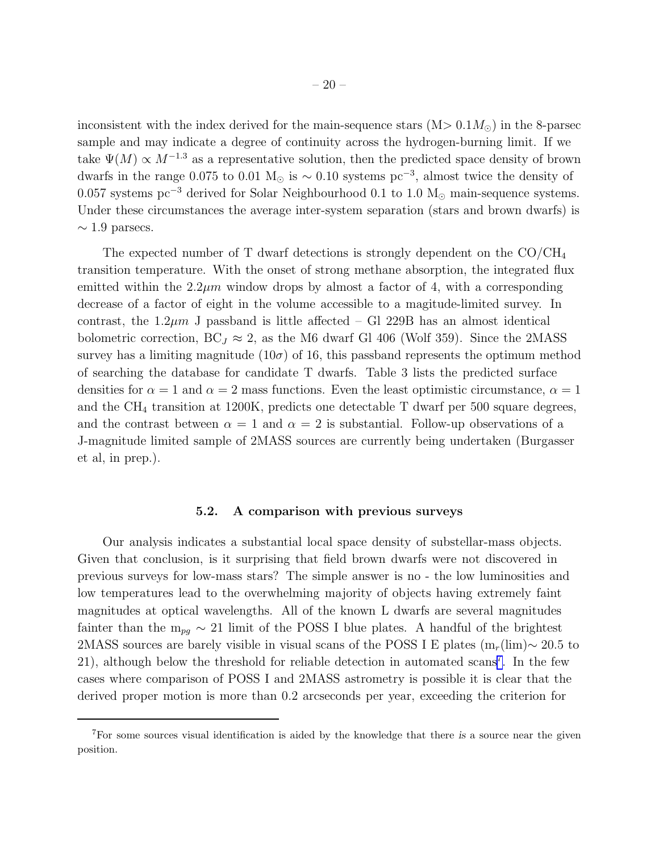inconsistent with the index derived for the main-sequence stars  $(M> 0.1 M<sub>o</sub>)$  in the 8-parsec sample and may indicate a degree of continuity across the hydrogen-burning limit. If we take  $\Psi(M) \propto M^{-1.3}$  as a representative solution, then the predicted space density of brown dwarfs in the range 0.075 to 0.01 M<sub>☉</sub> is  $\sim$  0.10 systems pc<sup>-3</sup>, almost twice the density of 0.057 systems pc<sup>-3</sup> derived for Solar Neighbourhood 0.1 to 1.0 M<sub>☉</sub> main-sequence systems. Under these circumstances the average inter-system separation (stars and brown dwarfs) is  $\sim$  1.9 parsecs.

The expected number of T dwarf detections is strongly dependent on the  $CO/CH_4$ transition temperature. With the onset of strong methane absorption, the integrated flux emitted within the  $2.2\mu m$  window drops by almost a factor of 4, with a corresponding decrease of a factor of eight in the volume accessible to a magitude-limited survey. In contrast, the  $1.2\mu m$  J passband is little affected – Gl 229B has an almost identical bolometric correction,  $BC_J \approx 2$ , as the M6 dwarf Gl 406 (Wolf 359). Since the 2MASS survey has a limiting magnitude (10 $\sigma$ ) of 16, this passband represents the optimum method of searching the database for candidate T dwarfs. Table 3 lists the predicted surface densities for  $\alpha = 1$  and  $\alpha = 2$  mass functions. Even the least optimistic circumstance,  $\alpha = 1$ and the CH<sup>4</sup> transition at 1200K, predicts one detectable T dwarf per 500 square degrees, and the contrast between  $\alpha = 1$  and  $\alpha = 2$  is substantial. Follow-up observations of a J-magnitude limited sample of 2MASS sources are currently being undertaken (Burgasser et al, in prep.).

# 5.2. A comparison with previous surveys

Our analysis indicates a substantial local space density of substellar-mass objects. Given that conclusion, is it surprising that field brown dwarfs were not discovered in previous surveys for low-mass stars? The simple answer is no - the low luminosities and low temperatures lead to the overwhelming majority of objects having extremely faint magnitudes at optical wavelengths. All of the known L dwarfs are several magnitudes fainter than the  $m_{pq} \sim 21$  limit of the POSS I blue plates. A handful of the brightest 2MASS sources are barely visible in visual scans of the POSS I E plates (m<sub>r</sub>(lim)∼ 20.5 to 21), although below the threshold for reliable detection in automated scans<sup>7</sup>. In the few cases where comparison of POSS I and 2MASS astrometry is possible it is clear that the derived proper motion is more than 0.2 arcseconds per year, exceeding the criterion for

<sup>7</sup>For some sources visual identification is aided by the knowledge that there is a source near the given position.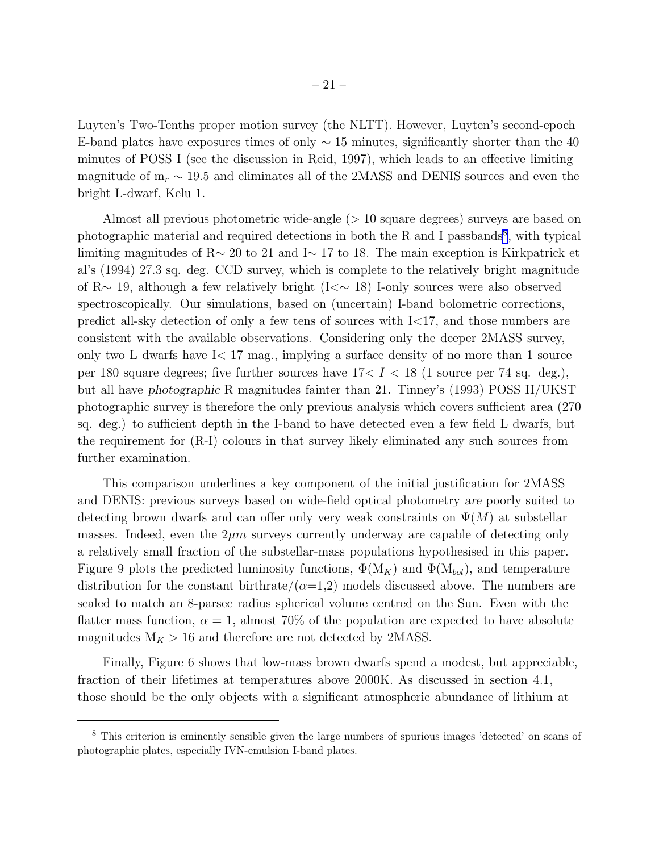Luyten's Two-Tenths proper motion survey (the NLTT). However, Luyten's second-epoch E-band plates have exposures times of only  $\sim 15$  minutes, significantly shorter than the 40 minutes of POSS I (see the discussion in Reid, 1997), which leads to an effective limiting magnitude of  $m_r \sim 19.5$  and eliminates all of the 2MASS and DENIS sources and even the bright L-dwarf, Kelu 1.

Almost all previous photometric wide-angle (> 10 square degrees) surveys are based on photographic material and required detections in both the  $R$  and I passbands<sup>8</sup>, with typical limiting magnitudes of R∼ 20 to 21 and I∼ 17 to 18. The main exception is Kirkpatrick et al's (1994) 27.3 sq. deg. CCD survey, which is complete to the relatively bright magnitude of R∼ 19, although a few relatively bright (I<∼ 18) I-only sources were also observed spectroscopically. Our simulations, based on (uncertain) I-band bolometric corrections, predict all-sky detection of only a few tens of sources with I<17, and those numbers are consistent with the available observations. Considering only the deeper 2MASS survey, only two L dwarfs have  $I < 17$  mag., implying a surface density of no more than 1 source per 180 square degrees; five further sources have  $17 < I < 18$  (1 source per 74 sq. deg.), but all have photographic R magnitudes fainter than 21. Tinney's (1993) POSS II/UKST photographic survey is therefore the only previous analysis which covers sufficient area (270 sq. deg.) to sufficient depth in the I-band to have detected even a few field L dwarfs, but the requirement for (R-I) colours in that survey likely eliminated any such sources from further examination.

This comparison underlines a key component of the initial justification for 2MASS and DENIS: previous surveys based on wide-field optical photometry are poorly suited to detecting brown dwarfs and can offer only very weak constraints on  $\Psi(M)$  at substellar masses. Indeed, even the  $2\mu m$  surveys currently underway are capable of detecting only a relatively small fraction of the substellar-mass populations hypothesised in this paper. Figure 9 plots the predicted luminosity functions,  $\Phi(M_K)$  and  $\Phi(M_{bol})$ , and temperature distribution for the constant birthrate/ $(\alpha=1,2)$  models discussed above. The numbers are scaled to match an 8-parsec radius spherical volume centred on the Sun. Even with the flatter mass function,  $\alpha = 1$ , almost 70% of the population are expected to have absolute magnitudes  $M_K > 16$  and therefore are not detected by 2MASS.

Finally, Figure 6 shows that low-mass brown dwarfs spend a modest, but appreciable, fraction of their lifetimes at temperatures above 2000K. As discussed in section 4.1, those should be the only objects with a significant atmospheric abundance of lithium at

<sup>8</sup> This criterion is eminently sensible given the large numbers of spurious images 'detected' on scans of photographic plates, especially IVN-emulsion I-band plates.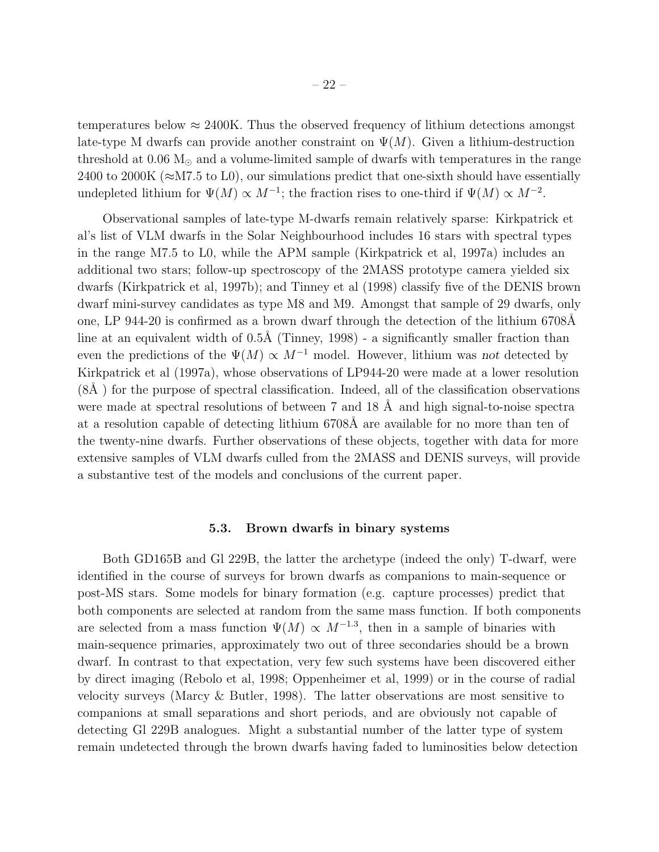temperatures below  $\approx 2400$ K. Thus the observed frequency of lithium detections amongst late-type M dwarfs can provide another constraint on  $\Psi(M)$ . Given a lithium-destruction threshold at  $0.06 M_{\odot}$  and a volume-limited sample of dwarfs with temperatures in the range 2400 to 2000K ( $\approx$ M7.5 to L0), our simulations predict that one-sixth should have essentially undepleted lithium for  $\Psi(M) \propto M^{-1}$ ; the fraction rises to one-third if  $\Psi(M) \propto M^{-2}$ .

Observational samples of late-type M-dwarfs remain relatively sparse: Kirkpatrick et al's list of VLM dwarfs in the Solar Neighbourhood includes 16 stars with spectral types in the range M7.5 to L0, while the APM sample (Kirkpatrick et al, 1997a) includes an additional two stars; follow-up spectroscopy of the 2MASS prototype camera yielded six dwarfs (Kirkpatrick et al, 1997b); and Tinney et al (1998) classify five of the DENIS brown dwarf mini-survey candidates as type M8 and M9. Amongst that sample of 29 dwarfs, only one, LP 944-20 is confirmed as a brown dwarf through the detection of the lithium 6708Å line at an equivalent width of  $0.5\text{\AA}$  (Tinney, 1998) - a significantly smaller fraction than even the predictions of the  $\Psi(M) \propto M^{-1}$  model. However, lithium was not detected by Kirkpatrick et al (1997a), whose observations of LP944-20 were made at a lower resolution  $(8\AA)$  for the purpose of spectral classification. Indeed, all of the classification observations were made at spectral resolutions of between  $7$  and  $18 \text{ Å}$  and high signal-to-noise spectra at a resolution capable of detecting lithium 6708Å are available for no more than ten of the twenty-nine dwarfs. Further observations of these objects, together with data for more extensive samples of VLM dwarfs culled from the 2MASS and DENIS surveys, will provide a substantive test of the models and conclusions of the current paper.

# 5.3. Brown dwarfs in binary systems

Both GD165B and Gl 229B, the latter the archetype (indeed the only) T-dwarf, were identified in the course of surveys for brown dwarfs as companions to main-sequence or post-MS stars. Some models for binary formation (e.g. capture processes) predict that both components are selected at random from the same mass function. If both components are selected from a mass function  $\Psi(M) \propto M^{-1.3}$ , then in a sample of binaries with main-sequence primaries, approximately two out of three secondaries should be a brown dwarf. In contrast to that expectation, very few such systems have been discovered either by direct imaging (Rebolo et al, 1998; Oppenheimer et al, 1999) or in the course of radial velocity surveys (Marcy & Butler, 1998). The latter observations are most sensitive to companions at small separations and short periods, and are obviously not capable of detecting Gl 229B analogues. Might a substantial number of the latter type of system remain undetected through the brown dwarfs having faded to luminosities below detection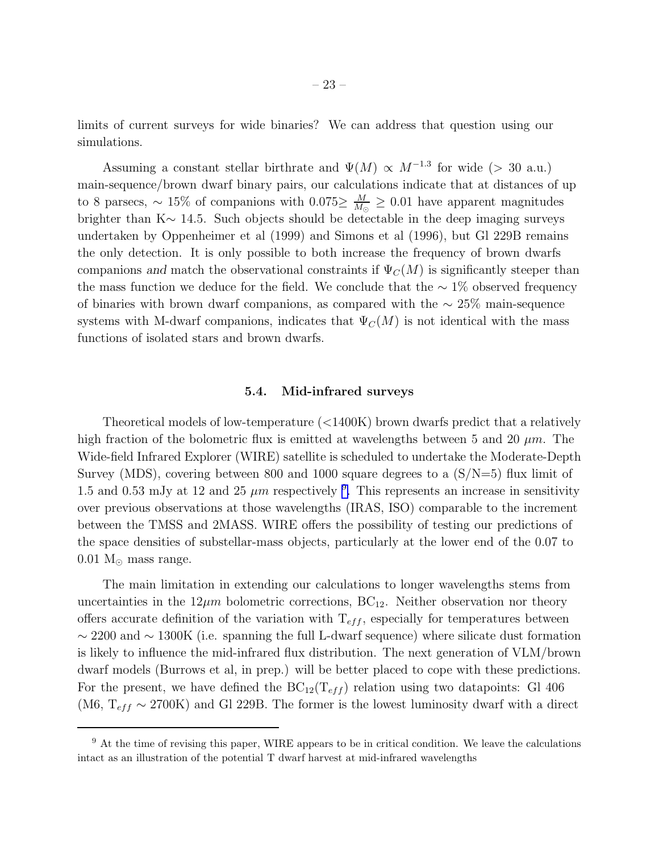limits of current surveys for wide binaries? We can address that question using our simulations.

Assuming a constant stellar birthrate and  $\Psi(M) \propto M^{-1.3}$  for wide (> 30 a.u.) main-sequence/brown dwarf binary pairs, our calculations indicate that at distances of up to 8 parsecs,  $\sim 15\%$  of companions with 0.075 $\geq \frac{M}{M_{\odot}}$  $\frac{M}{M_{\odot}} \geq 0.01$  have apparent magnitudes brighter than K∼ 14.5. Such objects should be detectable in the deep imaging surveys undertaken by Oppenheimer et al (1999) and Simons et al (1996), but Gl 229B remains the only detection. It is only possible to both increase the frequency of brown dwarfs companions and match the observational constraints if  $\Psi_C(M)$  is significantly steeper than the mass function we deduce for the field. We conclude that the  $\sim$  1% observed frequency of binaries with brown dwarf companions, as compared with the ∼ 25% main-sequence systems with M-dwarf companions, indicates that  $\Psi_C(M)$  is not identical with the mass functions of isolated stars and brown dwarfs.

# 5.4. Mid-infrared surveys

Theoretical models of low-temperature (<1400K) brown dwarfs predict that a relatively high fraction of the bolometric flux is emitted at wavelengths between 5 and 20  $\mu$ m. The Wide-field Infrared Explorer (WIRE) satellite is scheduled to undertake the Moderate-Depth Survey (MDS), covering between 800 and 1000 square degrees to a  $(S/N=5)$  flux limit of 1.5 and 0.53 mJy at 12 and 25  $\mu$ m respectively <sup>9</sup>. This represents an increase in sensitivity over previous observations at those wavelengths (IRAS, ISO) comparable to the increment between the TMSS and 2MASS. WIRE offers the possibility of testing our predictions of the space densities of substellar-mass objects, particularly at the lower end of the 0.07 to  $0.01$  M<sub> $\odot$ </sub> mass range.

The main limitation in extending our calculations to longer wavelengths stems from uncertainties in the  $12\mu m$  bolometric corrections,  $BC_{12}$ . Neither observation nor theory offers accurate definition of the variation with  $T_{eff}$ , especially for temperatures between ∼ 2200 and ∼ 1300K (i.e. spanning the full L-dwarf sequence) where silicate dust formation is likely to influence the mid-infrared flux distribution. The next generation of VLM/brown dwarf models (Burrows et al, in prep.) will be better placed to cope with these predictions. For the present, we have defined the  $BC_{12}(T_{eff})$  relation using two datapoints: Gl 406 (M6,  $T_{eff} \sim 2700$ K) and Gl 229B. The former is the lowest luminosity dwarf with a direct

<sup>&</sup>lt;sup>9</sup> At the time of revising this paper, WIRE appears to be in critical condition. We leave the calculations intact as an illustration of the potential T dwarf harvest at mid-infrared wavelengths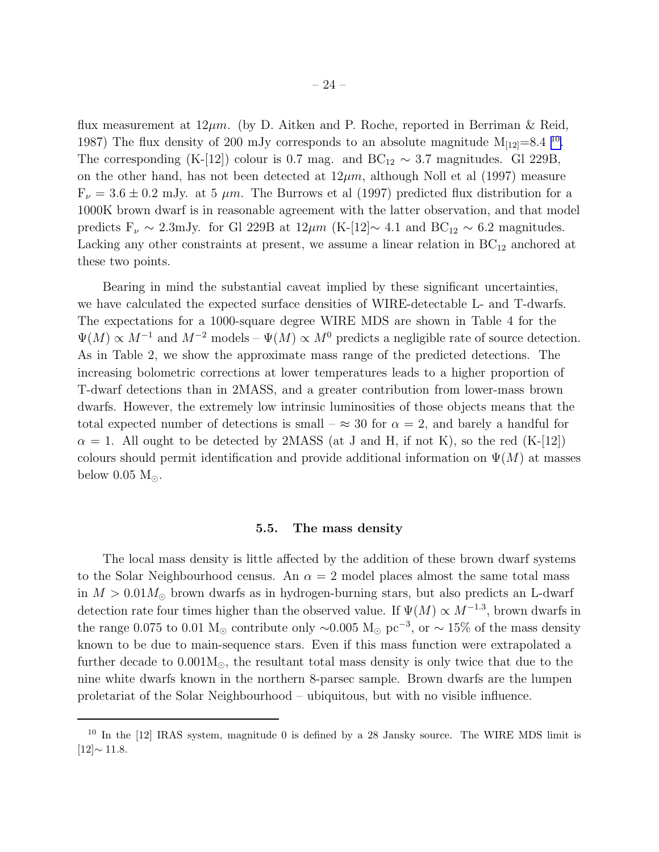flux measurement at  $12\mu m$ . (by D. Aitken and P. Roche, reported in Berriman & Reid, 1987) The flux density of 200 mJy corresponds to an absolute magnitude  $M_{[12]}=8.4$  <sup>10</sup>. The corresponding (K-[12]) colour is 0.7 mag. and BC<sub>12</sub>  $\sim$  3.7 magnitudes. Gl 229B, on the other hand, has not been detected at  $12\mu m$ , although Noll et al (1997) measure  $F_{\nu} = 3.6 \pm 0.2$  mJy. at 5  $\mu$ m. The Burrows et al (1997) predicted flux distribution for a 1000K brown dwarf is in reasonable agreement with the latter observation, and that model predicts  $F_{\nu} \sim 2.3 \text{mJy}$ . for Gl 229B at  $12 \mu m$  (K-[12]∼ 4.1 and BC<sub>12</sub> ~ 6.2 magnitudes. Lacking any other constraints at present, we assume a linear relation in  $BC_{12}$  anchored at these two points.

Bearing in mind the substantial caveat implied by these significant uncertainties, we have calculated the expected surface densities of WIRE-detectable L- and T-dwarfs. The expectations for a 1000-square degree WIRE MDS are shown in Table 4 for the  $\Psi(M) \propto M^{-1}$  and  $M^{-2}$  models –  $\Psi(M) \propto M^0$  predicts a negligible rate of source detection. As in Table 2, we show the approximate mass range of the predicted detections. The increasing bolometric corrections at lower temperatures leads to a higher proportion of T-dwarf detections than in 2MASS, and a greater contribution from lower-mass brown dwarfs. However, the extremely low intrinsic luminosities of those objects means that the total expected number of detections is small –  $\approx 30$  for  $\alpha = 2$ , and barely a handful for  $\alpha = 1$ . All ought to be detected by 2MASS (at J and H, if not K), so the red (K-[12]) colours should permit identification and provide additional information on  $\Psi(M)$  at masses below 0.05  $M_{\odot}$ .

# 5.5. The mass density

The local mass density is little affected by the addition of these brown dwarf systems to the Solar Neighbourhood census. An  $\alpha = 2$  model places almost the same total mass in  $M > 0.01 M_{\odot}$  brown dwarfs as in hydrogen-burning stars, but also predicts an L-dwarf detection rate four times higher than the observed value. If  $\Psi(M) \propto M^{-1.3}$ , brown dwarfs in the range 0.075 to 0.01 M<sub>☉</sub> contribute only ~0.005 M<sub>☉</sub> pc<sup>-3</sup>, or ~ 15% of the mass density known to be due to main-sequence stars. Even if this mass function were extrapolated a further decade to  $0.001M_{\odot}$ , the resultant total mass density is only twice that due to the nine white dwarfs known in the northern 8-parsec sample. Brown dwarfs are the lumpen proletariat of the Solar Neighbourhood – ubiquitous, but with no visible influence.

<sup>&</sup>lt;sup>10</sup> In the [12] IRAS system, magnitude 0 is defined by a 28 Jansky source. The WIRE MDS limit is [12]<sup>∼</sup> <sup>11</sup>.8.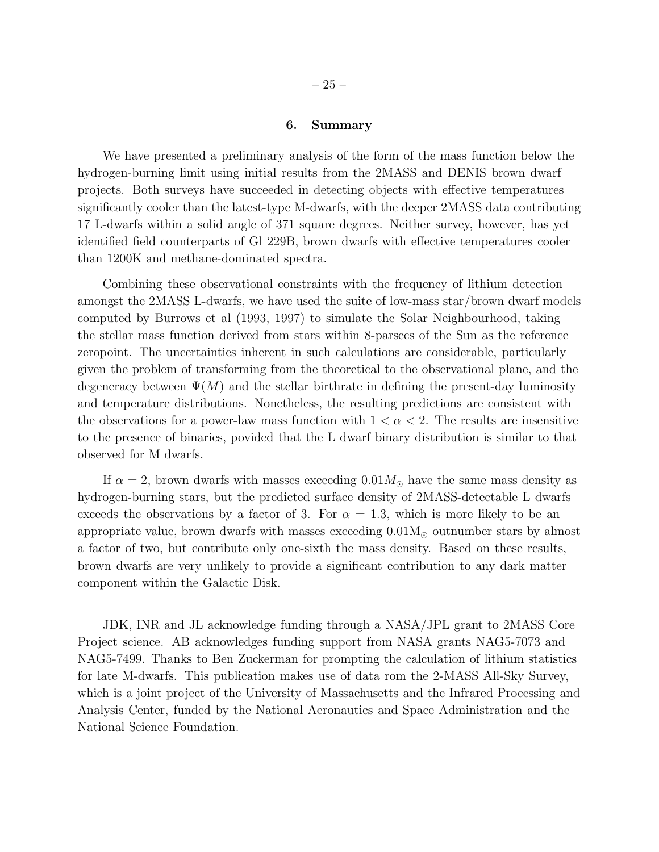# 6. Summary

We have presented a preliminary analysis of the form of the mass function below the hydrogen-burning limit using initial results from the 2MASS and DENIS brown dwarf projects. Both surveys have succeeded in detecting objects with effective temperatures significantly cooler than the latest-type M-dwarfs, with the deeper 2MASS data contributing 17 L-dwarfs within a solid angle of 371 square degrees. Neither survey, however, has yet identified field counterparts of Gl 229B, brown dwarfs with effective temperatures cooler than 1200K and methane-dominated spectra.

Combining these observational constraints with the frequency of lithium detection amongst the 2MASS L-dwarfs, we have used the suite of low-mass star/brown dwarf models computed by Burrows et al (1993, 1997) to simulate the Solar Neighbourhood, taking the stellar mass function derived from stars within 8-parsecs of the Sun as the reference zeropoint. The uncertainties inherent in such calculations are considerable, particularly given the problem of transforming from the theoretical to the observational plane, and the degeneracy between  $\Psi(M)$  and the stellar birthrate in defining the present-day luminosity and temperature distributions. Nonetheless, the resulting predictions are consistent with the observations for a power-law mass function with  $1 < \alpha < 2$ . The results are insensitive to the presence of binaries, povided that the L dwarf binary distribution is similar to that observed for M dwarfs.

If  $\alpha = 2$ , brown dwarfs with masses exceeding  $0.01 M_{\odot}$  have the same mass density as hydrogen-burning stars, but the predicted surface density of 2MASS-detectable L dwarfs exceeds the observations by a factor of 3. For  $\alpha = 1.3$ , which is more likely to be an appropriate value, brown dwarfs with masses exceeding  $0.01M_{\odot}$  outnumber stars by almost a factor of two, but contribute only one-sixth the mass density. Based on these results, brown dwarfs are very unlikely to provide a significant contribution to any dark matter component within the Galactic Disk.

JDK, INR and JL acknowledge funding through a NASA/JPL grant to 2MASS Core Project science. AB acknowledges funding support from NASA grants NAG5-7073 and NAG5-7499. Thanks to Ben Zuckerman for prompting the calculation of lithium statistics for late M-dwarfs. This publication makes use of data rom the 2-MASS All-Sky Survey, which is a joint project of the University of Massachusetts and the Infrared Processing and Analysis Center, funded by the National Aeronautics and Space Administration and the National Science Foundation.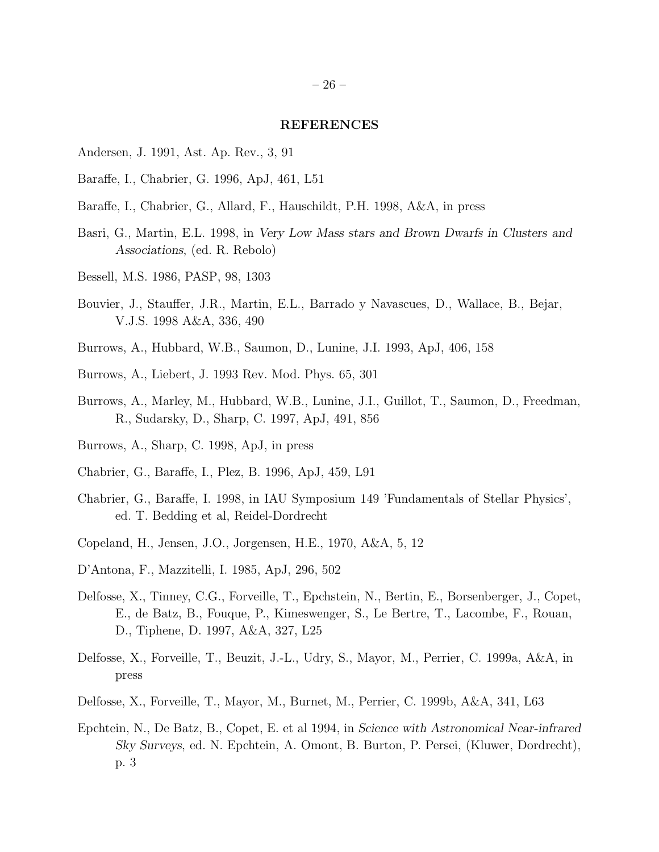#### REFERENCES

- Andersen, J. 1991, Ast. Ap. Rev., 3, 91
- Baraffe, I., Chabrier, G. 1996, ApJ, 461, L51
- Baraffe, I., Chabrier, G., Allard, F., Hauschildt, P.H. 1998, A&A, in press
- Basri, G., Martin, E.L. 1998, in Very Low Mass stars and Brown Dwarfs in Clusters and Associations, (ed. R. Rebolo)
- Bessell, M.S. 1986, PASP, 98, 1303
- Bouvier, J., Stauffer, J.R., Martin, E.L., Barrado y Navascues, D., Wallace, B., Bejar, V.J.S. 1998 A&A, 336, 490
- Burrows, A., Hubbard, W.B., Saumon, D., Lunine, J.I. 1993, ApJ, 406, 158
- Burrows, A., Liebert, J. 1993 Rev. Mod. Phys. 65, 301
- Burrows, A., Marley, M., Hubbard, W.B., Lunine, J.I., Guillot, T., Saumon, D., Freedman, R., Sudarsky, D., Sharp, C. 1997, ApJ, 491, 856
- Burrows, A., Sharp, C. 1998, ApJ, in press
- Chabrier, G., Baraffe, I., Plez, B. 1996, ApJ, 459, L91
- Chabrier, G., Baraffe, I. 1998, in IAU Symposium 149 'Fundamentals of Stellar Physics', ed. T. Bedding et al, Reidel-Dordrecht
- Copeland, H., Jensen, J.O., Jorgensen, H.E., 1970, A&A, 5, 12
- D'Antona, F., Mazzitelli, I. 1985, ApJ, 296, 502
- Delfosse, X., Tinney, C.G., Forveille, T., Epchstein, N., Bertin, E., Borsenberger, J., Copet, E., de Batz, B., Fouque, P., Kimeswenger, S., Le Bertre, T., Lacombe, F., Rouan, D., Tiphene, D. 1997, A&A, 327, L25
- Delfosse, X., Forveille, T., Beuzit, J.-L., Udry, S., Mayor, M., Perrier, C. 1999a, A&A, in press
- Delfosse, X., Forveille, T., Mayor, M., Burnet, M., Perrier, C. 1999b, A&A, 341, L63
- Epchtein, N., De Batz, B., Copet, E. et al 1994, in Science with Astronomical Near-infrared Sky Surveys, ed. N. Epchtein, A. Omont, B. Burton, P. Persei, (Kluwer, Dordrecht), p. 3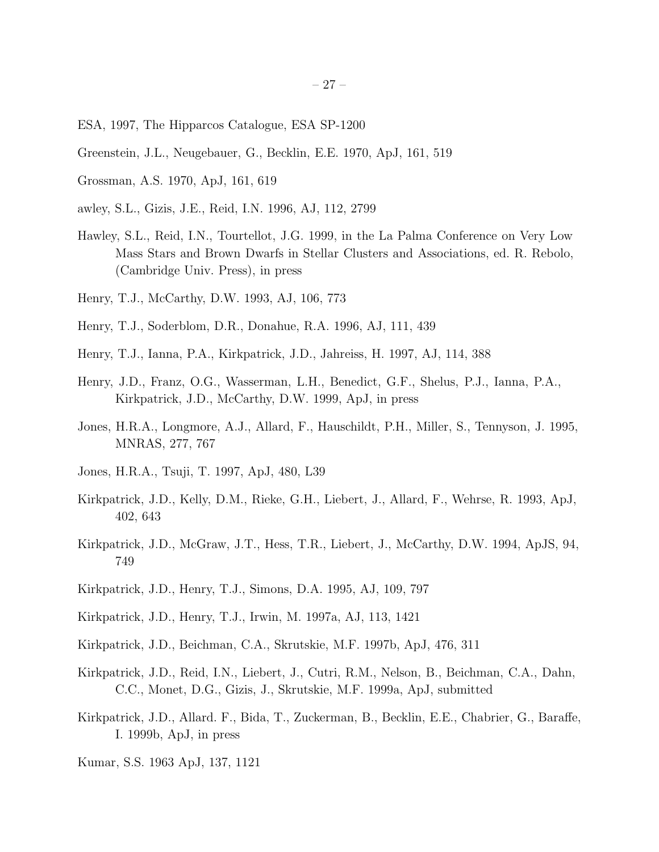- ESA, 1997, The Hipparcos Catalogue, ESA SP-1200
- Greenstein, J.L., Neugebauer, G., Becklin, E.E. 1970, ApJ, 161, 519
- Grossman, A.S. 1970, ApJ, 161, 619
- awley, S.L., Gizis, J.E., Reid, I.N. 1996, AJ, 112, 2799
- Hawley, S.L., Reid, I.N., Tourtellot, J.G. 1999, in the La Palma Conference on Very Low Mass Stars and Brown Dwarfs in Stellar Clusters and Associations, ed. R. Rebolo, (Cambridge Univ. Press), in press
- Henry, T.J., McCarthy, D.W. 1993, AJ, 106, 773
- Henry, T.J., Soderblom, D.R., Donahue, R.A. 1996, AJ, 111, 439
- Henry, T.J., Ianna, P.A., Kirkpatrick, J.D., Jahreiss, H. 1997, AJ, 114, 388
- Henry, J.D., Franz, O.G., Wasserman, L.H., Benedict, G.F., Shelus, P.J., Ianna, P.A., Kirkpatrick, J.D., McCarthy, D.W. 1999, ApJ, in press
- Jones, H.R.A., Longmore, A.J., Allard, F., Hauschildt, P.H., Miller, S., Tennyson, J. 1995, MNRAS, 277, 767
- Jones, H.R.A., Tsuji, T. 1997, ApJ, 480, L39
- Kirkpatrick, J.D., Kelly, D.M., Rieke, G.H., Liebert, J., Allard, F., Wehrse, R. 1993, ApJ, 402, 643
- Kirkpatrick, J.D., McGraw, J.T., Hess, T.R., Liebert, J., McCarthy, D.W. 1994, ApJS, 94, 749
- Kirkpatrick, J.D., Henry, T.J., Simons, D.A. 1995, AJ, 109, 797
- Kirkpatrick, J.D., Henry, T.J., Irwin, M. 1997a, AJ, 113, 1421
- Kirkpatrick, J.D., Beichman, C.A., Skrutskie, M.F. 1997b, ApJ, 476, 311
- Kirkpatrick, J.D., Reid, I.N., Liebert, J., Cutri, R.M., Nelson, B., Beichman, C.A., Dahn, C.C., Monet, D.G., Gizis, J., Skrutskie, M.F. 1999a, ApJ, submitted
- Kirkpatrick, J.D., Allard. F., Bida, T., Zuckerman, B., Becklin, E.E., Chabrier, G., Baraffe, I. 1999b, ApJ, in press
- Kumar, S.S. 1963 ApJ, 137, 1121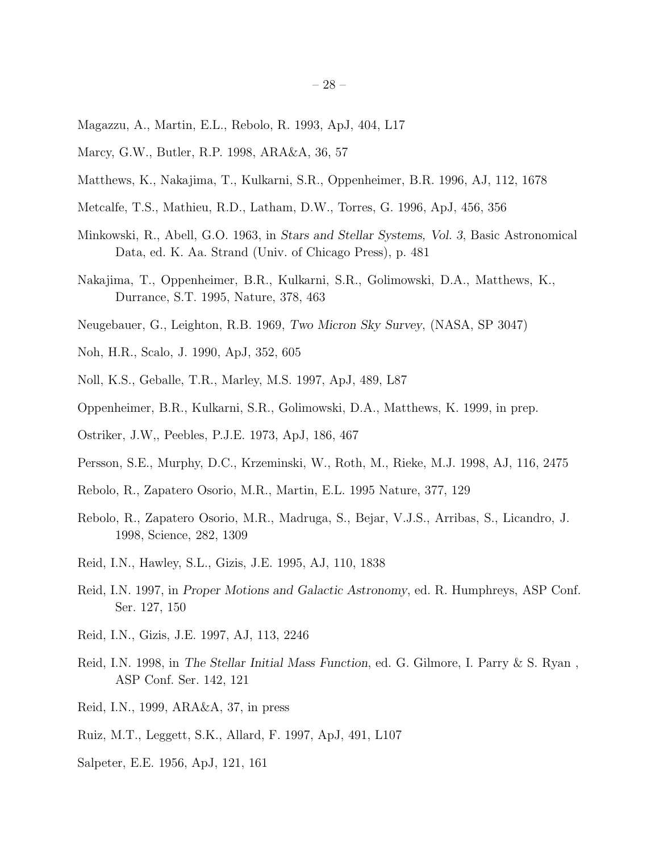- Magazzu, A., Martin, E.L., Rebolo, R. 1993, ApJ, 404, L17
- Marcy, G.W., Butler, R.P. 1998, ARA&A, 36, 57
- Matthews, K., Nakajima, T., Kulkarni, S.R., Oppenheimer, B.R. 1996, AJ, 112, 1678
- Metcalfe, T.S., Mathieu, R.D., Latham, D.W., Torres, G. 1996, ApJ, 456, 356
- Minkowski, R., Abell, G.O. 1963, in Stars and Stellar Systems, Vol. 3, Basic Astronomical Data, ed. K. Aa. Strand (Univ. of Chicago Press), p. 481
- Nakajima, T., Oppenheimer, B.R., Kulkarni, S.R., Golimowski, D.A., Matthews, K., Durrance, S.T. 1995, Nature, 378, 463
- Neugebauer, G., Leighton, R.B. 1969, Two Micron Sky Survey, (NASA, SP 3047)
- Noh, H.R., Scalo, J. 1990, ApJ, 352, 605
- Noll, K.S., Geballe, T.R., Marley, M.S. 1997, ApJ, 489, L87
- Oppenheimer, B.R., Kulkarni, S.R., Golimowski, D.A., Matthews, K. 1999, in prep.
- Ostriker, J.W,, Peebles, P.J.E. 1973, ApJ, 186, 467
- Persson, S.E., Murphy, D.C., Krzeminski, W., Roth, M., Rieke, M.J. 1998, AJ, 116, 2475
- Rebolo, R., Zapatero Osorio, M.R., Martin, E.L. 1995 Nature, 377, 129
- Rebolo, R., Zapatero Osorio, M.R., Madruga, S., Bejar, V.J.S., Arribas, S., Licandro, J. 1998, Science, 282, 1309
- Reid, I.N., Hawley, S.L., Gizis, J.E. 1995, AJ, 110, 1838
- Reid, I.N. 1997, in Proper Motions and Galactic Astronomy, ed. R. Humphreys, ASP Conf. Ser. 127, 150
- Reid, I.N., Gizis, J.E. 1997, AJ, 113, 2246
- Reid, I.N. 1998, in The Stellar Initial Mass Function, ed. G. Gilmore, I. Parry & S. Ryan , ASP Conf. Ser. 142, 121
- Reid, I.N., 1999, ARA&A, 37, in press
- Ruiz, M.T., Leggett, S.K., Allard, F. 1997, ApJ, 491, L107
- Salpeter, E.E. 1956, ApJ, 121, 161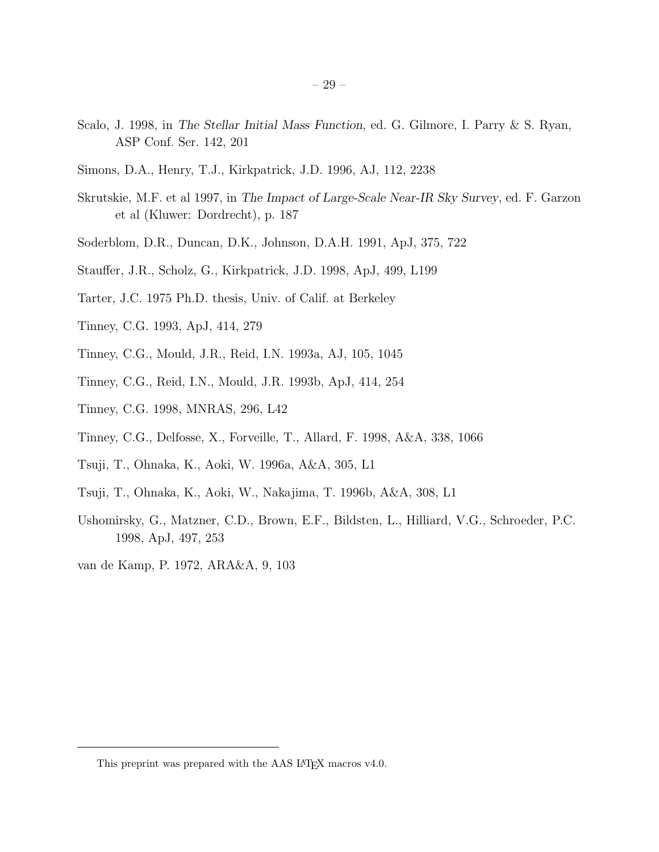- Scalo, J. 1998, in The Stellar Initial Mass Function, ed. G. Gilmore, I. Parry & S. Ryan, ASP Conf. Ser. 142, 201
- Simons, D.A., Henry, T.J., Kirkpatrick, J.D. 1996, AJ, 112, 2238
- Skrutskie, M.F. et al 1997, in The Impact of Large-Scale Near-IR Sky Survey, ed. F. Garzon et al (Kluwer: Dordrecht), p. 187
- Soderblom, D.R., Duncan, D.K., Johnson, D.A.H. 1991, ApJ, 375, 722
- Stauffer, J.R., Scholz, G., Kirkpatrick, J.D. 1998, ApJ, 499, L199
- Tarter, J.C. 1975 Ph.D. thesis, Univ. of Calif. at Berkeley
- Tinney, C.G. 1993, ApJ, 414, 279
- Tinney, C.G., Mould, J.R., Reid, I.N. 1993a, AJ, 105, 1045
- Tinney, C.G., Reid, I.N., Mould, J.R. 1993b, ApJ, 414, 254
- Tinney, C.G. 1998, MNRAS, 296, L42
- Tinney, C.G., Delfosse, X., Forveille, T., Allard, F. 1998, A&A, 338, 1066
- Tsuji, T., Ohnaka, K., Aoki, W. 1996a, A&A, 305, L1
- Tsuji, T., Ohnaka, K., Aoki, W., Nakajima, T. 1996b, A&A, 308, L1
- Ushomirsky, G., Matzner, C.D., Brown, E.F., Bildsten, L., Hilliard, V.G., Schroeder, P.C. 1998, ApJ, 497, 253
- van de Kamp, P. 1972, ARA&A, 9, 103

This preprint was prepared with the AAS IATEX macros v4.0.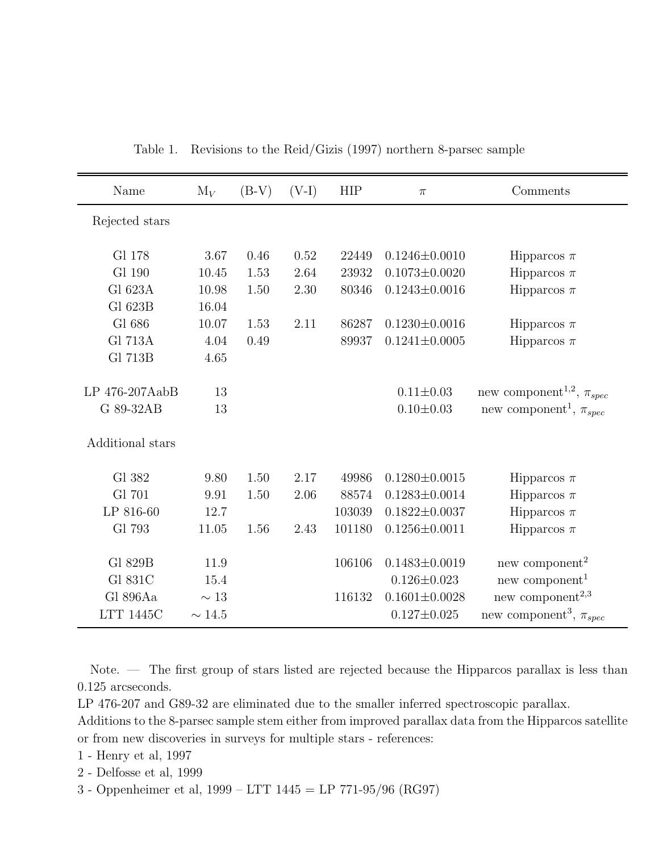Table 1. Revisions to the Reid/Gizis (1997) northern 8-parsec sample

| Name             | $M_V$       | $(B-V)$ | $(V-I)$ | <b>HIP</b> | $\pi$               | Comments                                    |
|------------------|-------------|---------|---------|------------|---------------------|---------------------------------------------|
| Rejected stars   |             |         |         |            |                     |                                             |
| Gl 178           | 3.67        | 0.46    | 0.52    | 22449      | $0.1246 \pm 0.0010$ | Hipparcos $\pi$                             |
| Gl 190           | 10.45       | 1.53    | 2.64    | 23932      | $0.1073 \pm 0.0020$ | Hipparcos $\pi$                             |
| Gl 623A          | 10.98       | 1.50    | 2.30    | 80346      | $0.1243 \pm 0.0016$ | Hipparcos $\pi$                             |
| Gl 623B          | 16.04       |         |         |            |                     |                                             |
| Gl 686           | 10.07       | 1.53    | 2.11    | 86287      | $0.1230 \pm 0.0016$ | Hipparcos $\pi$                             |
| <b>Gl 713A</b>   | 4.04        | 0.49    |         | 89937      | $0.1241 \pm 0.0005$ | Hipparcos $\pi$                             |
| Gl 713B          | 4.65        |         |         |            |                     |                                             |
| LP 476-207AabB   | 13          |         |         |            | $0.11 \pm 0.03$     | new component <sup>1,2</sup> , $\pi_{spec}$ |
| G 89-32AB        | 13          |         |         |            | $0.10 \pm 0.03$     | new component <sup>1</sup> , $\pi_{spec}$   |
| Additional stars |             |         |         |            |                     |                                             |
| Gl 382           | 9.80        | 1.50    | 2.17    | 49986      | $0.1280 \pm 0.0015$ | Hipparcos $\pi$                             |
| Gl 701           | 9.91        | 1.50    | 2.06    | 88574      | $0.1283 \pm 0.0014$ | Hipparcos $\pi$                             |
| LP 816-60        | 12.7        |         |         | 103039     | $0.1822 \pm 0.0037$ | Hipparcos $\pi$                             |
| Gl 793           | 11.05       | 1.56    | 2.43    | 101180     | $0.1256 \pm 0.0011$ | Hipparcos $\pi$                             |
| Gl 829B          | 11.9        |         |         | 106106     | $0.1483 \pm 0.0019$ | new component <sup>2</sup>                  |
| Gl 831C          | 15.4        |         |         |            | $0.126 \pm 0.023$   | new component <sup>1</sup>                  |
| Gl 896Aa         | $\sim 13$   |         |         | 116132     | $0.1601 \pm 0.0028$ | new component <sup>2,3</sup>                |
| <b>LTT 1445C</b> | $\sim 14.5$ |         |         |            | $0.127 \pm 0.025$   | new component <sup>3</sup> , $\pi_{spec}$   |

Note. — The first group of stars listed are rejected because the Hipparcos parallax is less than 0.125 arcseconds.

LP 476-207 and G89-32 are eliminated due to the smaller inferred spectroscopic parallax.

Additions to the 8-parsec sample stem either from improved parallax data from the Hipparcos satellite or from new discoveries in surveys for multiple stars - references:

1 - Henry et al, 1997

2 - Delfosse et al, 1999

3 - Oppenheimer et al, 1999 – LTT 1445 = LP 771-95/96 (RG97)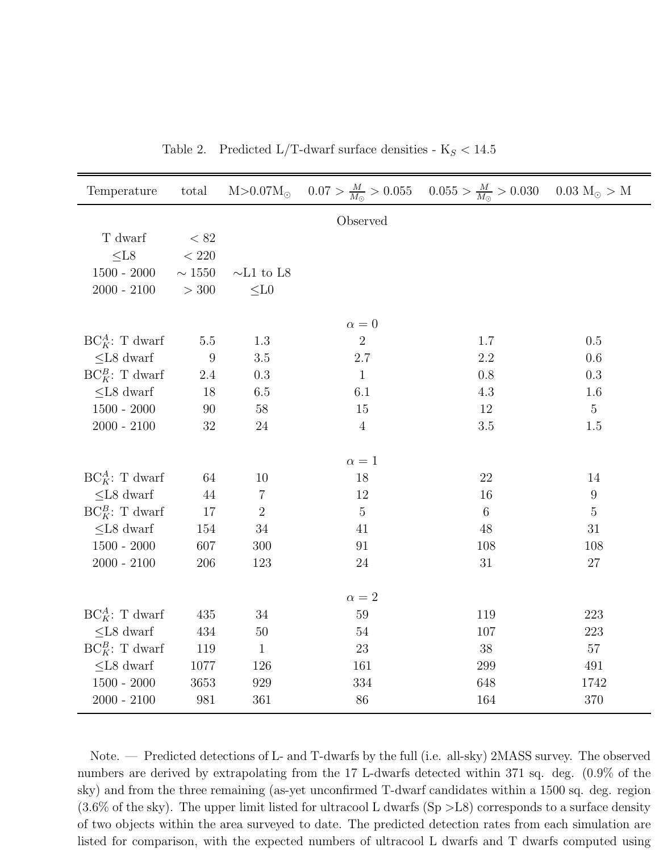| Temperature           | total       | $M > 0.07 M_{\odot}$ |                | $0.07 > \frac{M}{M_{\odot}} > 0.055$ $0.055 > \frac{M}{M_{\odot}} > 0.030$ $0.03 M_{\odot} > M$ |                  |
|-----------------------|-------------|----------------------|----------------|-------------------------------------------------------------------------------------------------|------------------|
|                       |             |                      | Observed       |                                                                                                 |                  |
| T dwarf               | < 82        |                      |                |                                                                                                 |                  |
| $\leq$ L8             | $<220\,$    |                      |                |                                                                                                 |                  |
| $1500 - 2000$         | $\sim 1550$ | $\sim\!\!L1$ to L8   |                |                                                                                                 |                  |
| $2000 - 2100$         | $>300$      | $\leq$ L0            |                |                                                                                                 |                  |
|                       |             |                      |                |                                                                                                 |                  |
|                       |             |                      | $\alpha = 0$   |                                                                                                 |                  |
| $BC_K^A$ : T dwarf    | $5.5\,$     | 1.3                  | $\overline{2}$ | 1.7                                                                                             | 0.5              |
| $<\!\!{\rm L}8$ dwarf | 9           | $3.5\,$              | 2.7            | $2.2\,$                                                                                         | 0.6              |
| $BC_K^B$ : T dwarf    | $2.4\,$     | $0.3\,$              | $\mathbf{1}$   | 0.8                                                                                             | 0.3              |
| $\leq$ L8 dwarf       | 18          | 6.5                  | 6.1            | 4.3                                                                                             | 1.6              |
| $1500 - 2000$         | 90          | $58\,$               | 15             | 12                                                                                              | $\overline{5}$   |
| $2000 - 2100$         | $32\,$      | 24                   | $\overline{4}$ | $3.5\,$                                                                                         | 1.5              |
|                       |             |                      | $\alpha=1$     |                                                                                                 |                  |
| $BC_K^A$ : T dwarf    | 64          | 10                   | 18             | 22                                                                                              | 14               |
| $\leq$ L8 dwarf       | 44          | 7                    | 12             | 16                                                                                              | $\boldsymbol{9}$ |
| $BC_K^B$ : T dwarf    | 17          | $\overline{2}$       | $\overline{5}$ | 6                                                                                               | $\mathbf 5$      |
| $<$ L8 dwarf          | 154         | 34                   | 41             | 48                                                                                              | $31\,$           |
| $1500 - 2000$         | 607         | 300                  | 91             | 108                                                                                             | 108              |
| $2000 - 2100$         | 206         | 123                  | 24             | 31                                                                                              | $27\,$           |
|                       |             |                      |                |                                                                                                 |                  |
|                       |             |                      | $\alpha=2$     |                                                                                                 |                  |
| $BC_K^A$ : T dwarf    | 435         | 34                   | 59             | 119                                                                                             | 223              |
| $\leq$ L8 dwarf       | 434         | $50\,$               | $54\,$         | 107                                                                                             | 223              |
| $BC_K^B$ : T dwarf    | 119         | $\mathbf{1}$         | 23             | 38                                                                                              | $57\,$           |
| $\leq$ L8 dwarf       | 1077        | 126                  | 161            | 299                                                                                             | 491              |
| $1500 - 2000$         | 3653        | 929                  | 334            | 648                                                                                             | 1742             |
| $2000 - 2100$         | 981         | 361                  | 86             | 164                                                                                             | 370              |

Table 2. Predicted L/T-dwarf surface densities -  $K_S < 14.5$ 

Note. — Predicted detections of L- and T-dwarfs by the full (i.e. all-sky) 2MASS survey. The observed numbers are derived by extrapolating from the 17 L-dwarfs detected within 371 sq. deg. (0.9% of the sky) and from the three remaining (as-yet unconfirmed T-dwarf candidates within a 1500 sq. deg. region  $(3.6\%$  of the sky). The upper limit listed for ultracool L dwarfs  $(Sp > L8)$  corresponds to a surface density of two objects within the area surveyed to date. The predicted detection rates from each simulation are listed for comparison, with the expected numbers of ultracool L dwarfs and T dwarfs computed using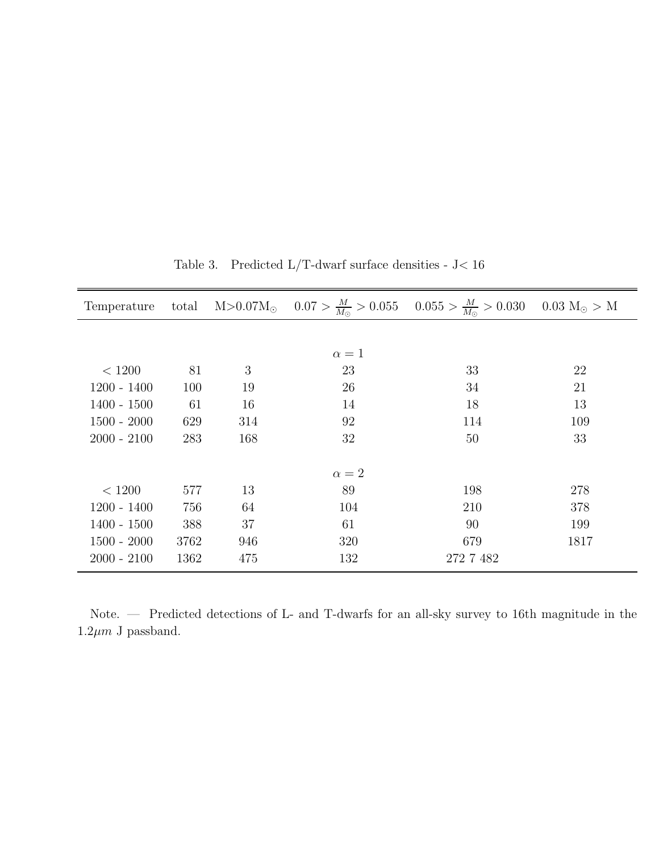| Temperature   |      |     |              | total $M > 0.07 M_{\odot}$ $0.07 > \frac{M}{M_{\odot}} > 0.055$ $0.055 > \frac{M}{M_{\odot}} > 0.030$ $0.03 M_{\odot} > M$ |      |
|---------------|------|-----|--------------|----------------------------------------------------------------------------------------------------------------------------|------|
|               |      |     |              |                                                                                                                            |      |
|               |      |     | $\alpha=1$   |                                                                                                                            |      |
| < 1200        | 81   | 3   | 23           | 33                                                                                                                         | 22   |
| $1200 - 1400$ | 100  | 19  | 26           | 34                                                                                                                         | 21   |
| $1400 - 1500$ | 61   | 16  | 14           | 18                                                                                                                         | 13   |
| $1500 - 2000$ | 629  | 314 | 92           | 114                                                                                                                        | 109  |
| $2000 - 2100$ | 283  | 168 | 32           | 50                                                                                                                         | 33   |
|               |      |     |              |                                                                                                                            |      |
|               |      |     | $\alpha = 2$ |                                                                                                                            |      |
| < 1200        | 577  | 13  | 89           | 198                                                                                                                        | 278  |
| $1200 - 1400$ | 756  | 64  | 104          | 210                                                                                                                        | 378  |
| $1400 - 1500$ | 388  | 37  | 61           | 90                                                                                                                         | 199  |
| $1500 - 2000$ | 3762 | 946 | 320          | 679                                                                                                                        | 1817 |
| $2000 - 2100$ | 1362 | 475 | 132          | 272 7 482                                                                                                                  |      |

Table 3. Predicted L/T-dwarf surface densities - J< 16

Note. — Predicted detections of L- and T-dwarfs for an all-sky survey to 16th magnitude in the  $1.2 \mu m$  J passband.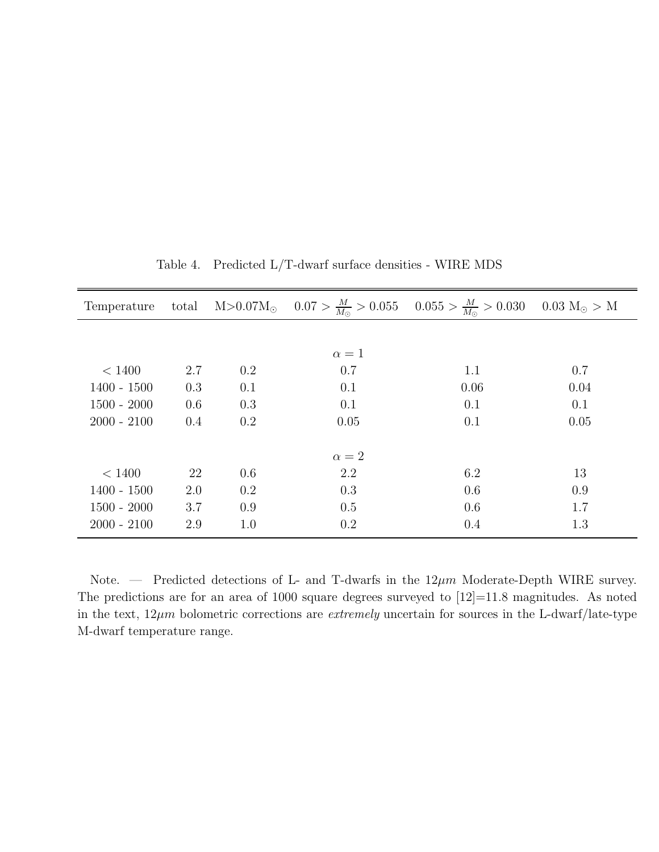| Temperature   | total |     |              | $M > 0.07 M_{\odot}$ $0.07 > \frac{M}{M_{\odot}} > 0.055$ $0.055 > \frac{M}{M_{\odot}} > 0.030$ $0.03 M_{\odot} > M$ |      |
|---------------|-------|-----|--------------|----------------------------------------------------------------------------------------------------------------------|------|
|               |       |     |              |                                                                                                                      |      |
|               |       |     | $\alpha=1$   |                                                                                                                      |      |
| < 1400        | 2.7   | 0.2 | 0.7          | 1.1                                                                                                                  | 0.7  |
| $1400 - 1500$ | 0.3   | 0.1 | 0.1          | 0.06                                                                                                                 | 0.04 |
| $1500 - 2000$ | 0.6   | 0.3 | 0.1          | 0.1                                                                                                                  | 0.1  |
| $2000 - 2100$ | 0.4   | 0.2 | 0.05         | 0.1                                                                                                                  | 0.05 |
|               |       |     |              |                                                                                                                      |      |
|               |       |     | $\alpha = 2$ |                                                                                                                      |      |
| < 1400        | 22    | 0.6 | 2.2          | 6.2                                                                                                                  | 13   |
| $1400 - 1500$ | 2.0   | 0.2 | 0.3          | 0.6                                                                                                                  | 0.9  |
| $1500 - 2000$ | 3.7   | 0.9 | 0.5          | 0.6                                                                                                                  | 1.7  |
| $2000 - 2100$ | 2.9   | 1.0 | 0.2          | 0.4                                                                                                                  | 1.3  |

Table 4. Predicted L/T-dwarf surface densities - WIRE MDS

Note. — Predicted detections of L- and T-dwarfs in the  $12\mu m$  Moderate-Depth WIRE survey. The predictions are for an area of 1000 square degrees surveyed to  $[12] = 11.8$  magnitudes. As noted in the text,  $12\mu m$  bolometric corrections are *extremely* uncertain for sources in the L-dwarf/late-type M-dwarf temperature range.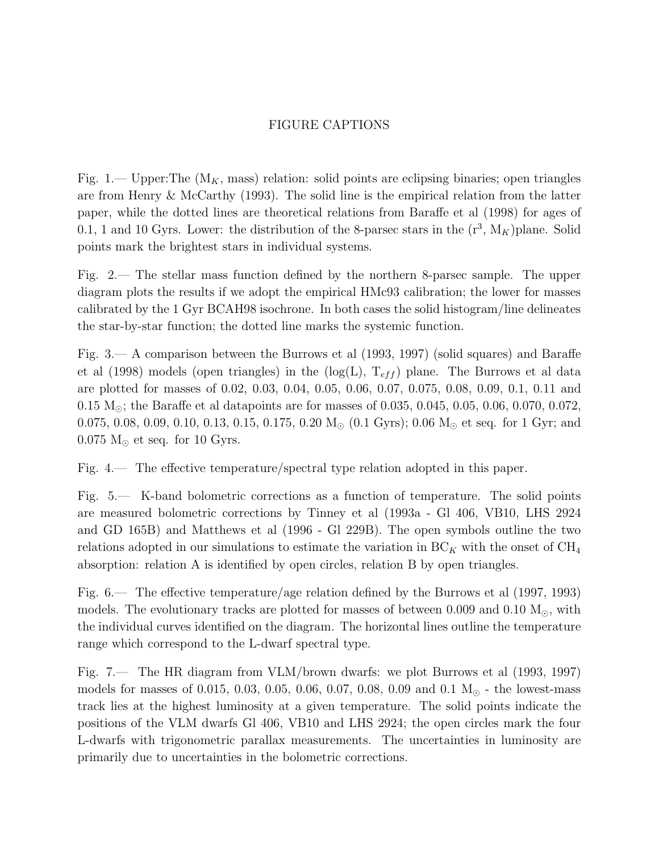# FIGURE CAPTIONS

Fig. 1.— Upper:The  $(M_K, \text{mass})$  relation: solid points are eclipsing binaries; open triangles are from Henry & McCarthy (1993). The solid line is the empirical relation from the latter paper, while the dotted lines are theoretical relations from Baraffe et al (1998) for ages of 0.1, 1 and 10 Gyrs. Lower: the distribution of the 8-parsec stars in the  $(r^3, M_K)$  plane. Solid points mark the brightest stars in individual systems.

Fig. 2.— The stellar mass function defined by the northern 8-parsec sample. The upper diagram plots the results if we adopt the empirical HMc93 calibration; the lower for masses calibrated by the 1 Gyr BCAH98 isochrone. In both cases the solid histogram/line delineates the star-by-star function; the dotted line marks the systemic function.

Fig. 3.— A comparison between the Burrows et al (1993, 1997) (solid squares) and Baraffe et al (1998) models (open triangles) in the  $(log(L), T_{eff})$  plane. The Burrows et al data are plotted for masses of 0.02, 0.03, 0.04, 0.05, 0.06, 0.07, 0.075, 0.08, 0.09, 0.1, 0.11 and 0.15  $M_{\odot}$ ; the Baraffe et al datapoints are for masses of 0.035, 0.045, 0.05, 0.06, 0.070, 0.072, 0.075, 0.08, 0.09, 0.10, 0.13, 0.15, 0.175, 0.20  $M_{\odot}$  (0.1 Gyrs); 0.06  $M_{\odot}$  et seq. for 1 Gyr; and  $0.075$  M<sub> $\odot$ </sub> et seq. for 10 Gyrs.

Fig. 4.— The effective temperature/spectral type relation adopted in this paper.

Fig. 5.— K-band bolometric corrections as a function of temperature. The solid points are measured bolometric corrections by Tinney et al (1993a - Gl 406, VB10, LHS 2924 and GD 165B) and Matthews et al (1996 - Gl 229B). The open symbols outline the two relations adopted in our simulations to estimate the variation in  $BC_K$  with the onset of  $CH_4$ absorption: relation A is identified by open circles, relation B by open triangles.

Fig. 6.— The effective temperature/age relation defined by the Burrows et al (1997, 1993) models. The evolutionary tracks are plotted for masses of between 0.009 and 0.10  $M_{\odot}$ , with the individual curves identified on the diagram. The horizontal lines outline the temperature range which correspond to the L-dwarf spectral type.

Fig. 7.— The HR diagram from VLM/brown dwarfs: we plot Burrows et al (1993, 1997) models for masses of 0.015, 0.03, 0.05, 0.06, 0.07, 0.08, 0.09 and 0.1  $M_{\odot}$  - the lowest-mass track lies at the highest luminosity at a given temperature. The solid points indicate the positions of the VLM dwarfs Gl 406, VB10 and LHS 2924; the open circles mark the four L-dwarfs with trigonometric parallax measurements. The uncertainties in luminosity are primarily due to uncertainties in the bolometric corrections.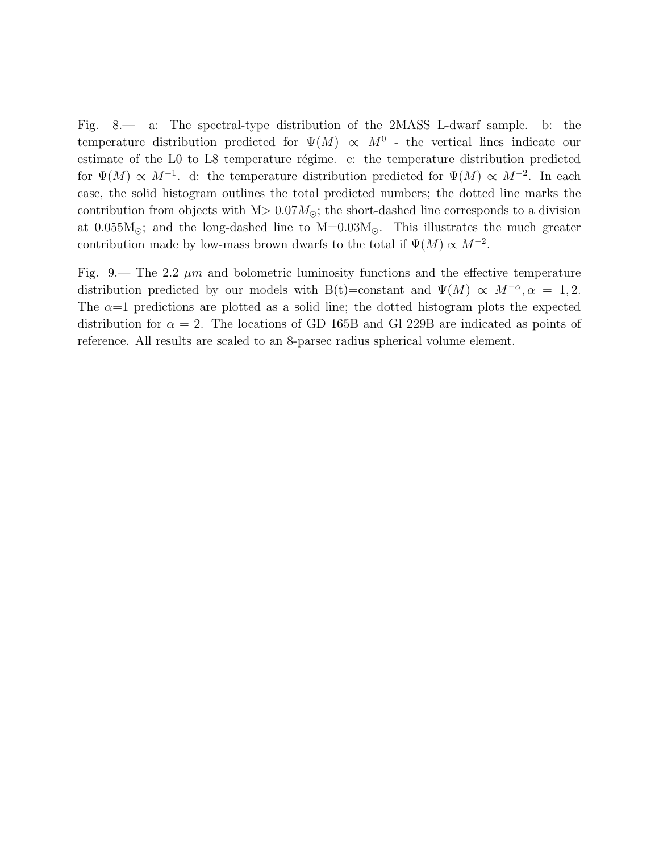Fig. 8.— a: The spectral-type distribution of the 2MASS L-dwarf sample. b: the temperature distribution predicted for  $\Psi(M) \propto M^0$  - the vertical lines indicate our estimate of the L0 to L8 temperature régime. c: the temperature distribution predicted for  $\Psi(M) \propto M^{-1}$ . d: the temperature distribution predicted for  $\Psi(M) \propto M^{-2}$ . In each case, the solid histogram outlines the total predicted numbers; the dotted line marks the contribution from objects with  $M > 0.07 M_{\odot}$ ; the short-dashed line corresponds to a division at  $0.055M_{\odot}$ ; and the long-dashed line to  $M=0.03M_{\odot}$ . This illustrates the much greater contribution made by low-mass brown dwarfs to the total if  $\Psi(M) \propto M^{-2}$ .

Fig. 9.— The 2.2  $\mu$ m and bolometric luminosity functions and the effective temperature distribution predicted by our models with B(t)=constant and  $\Psi(M) \propto M^{-\alpha}, \alpha = 1, 2$ . The  $\alpha=1$  predictions are plotted as a solid line; the dotted histogram plots the expected distribution for  $\alpha = 2$ . The locations of GD 165B and Gl 229B are indicated as points of reference. All results are scaled to an 8-parsec radius spherical volume element.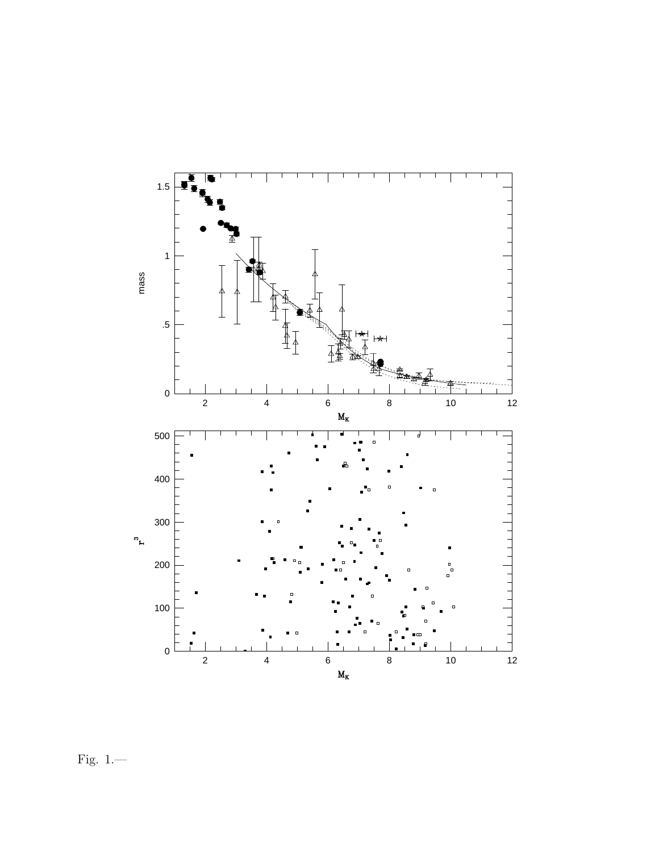

Fig. 1.—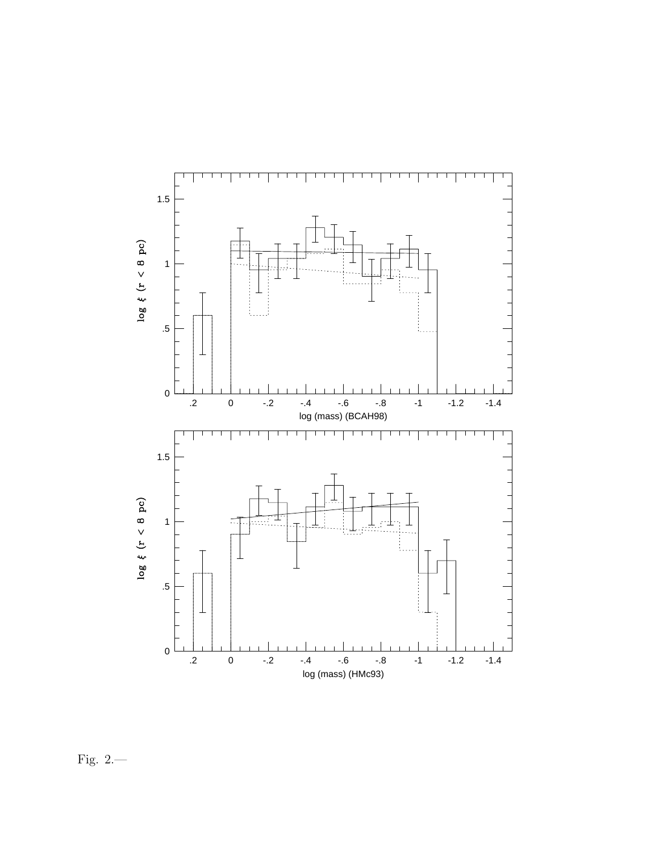

Fig. 2.—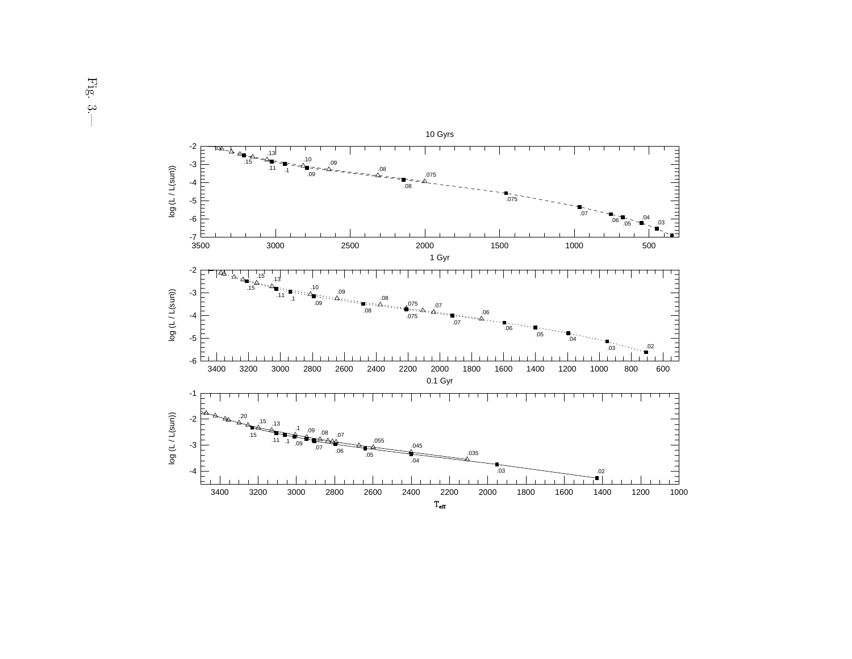

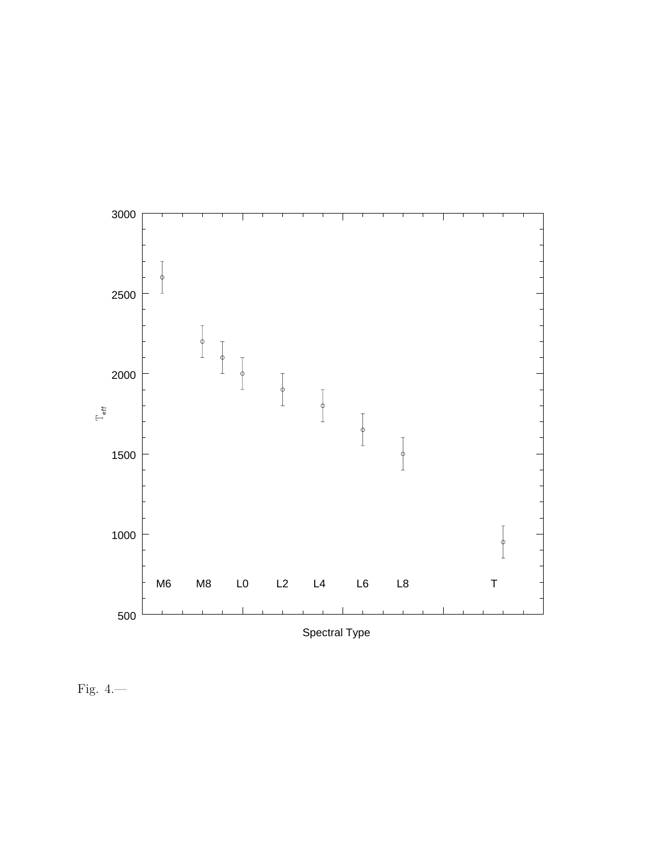

Fig. 4.—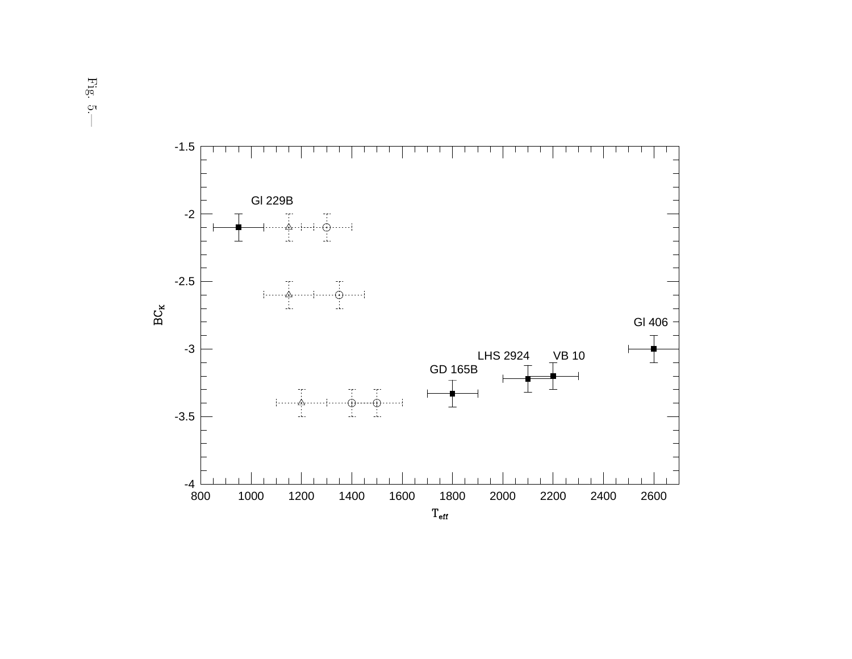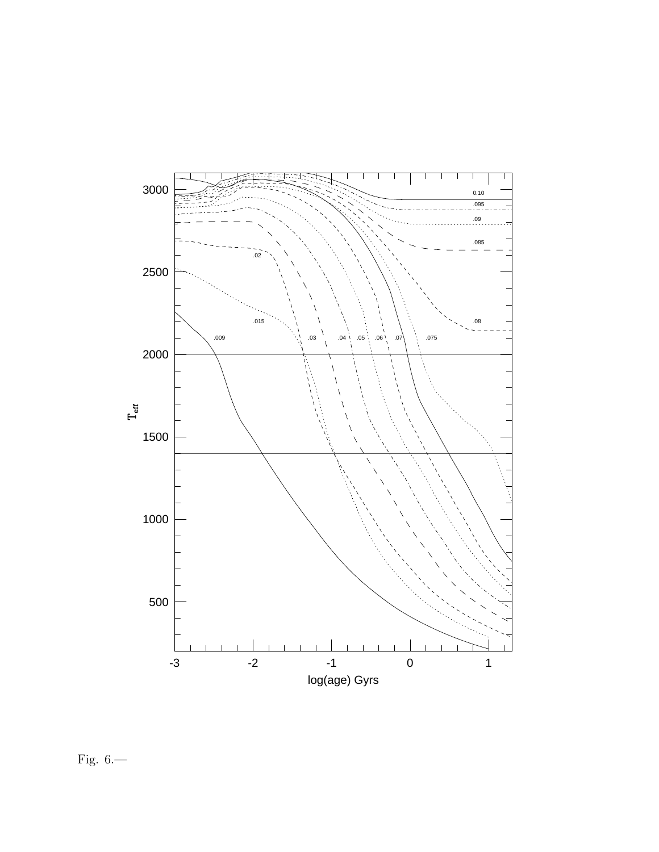

Fig. 6. $-$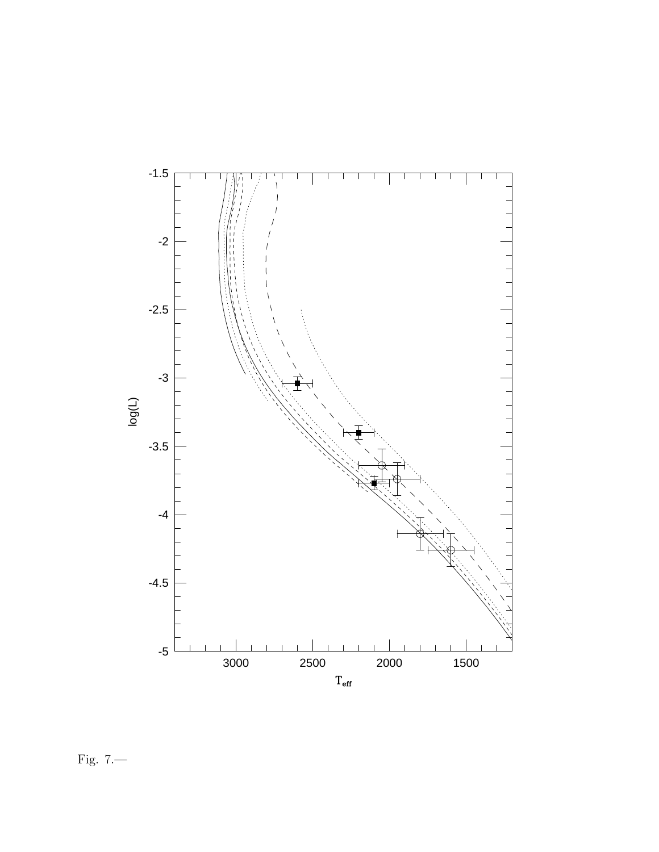

Fig. 7.—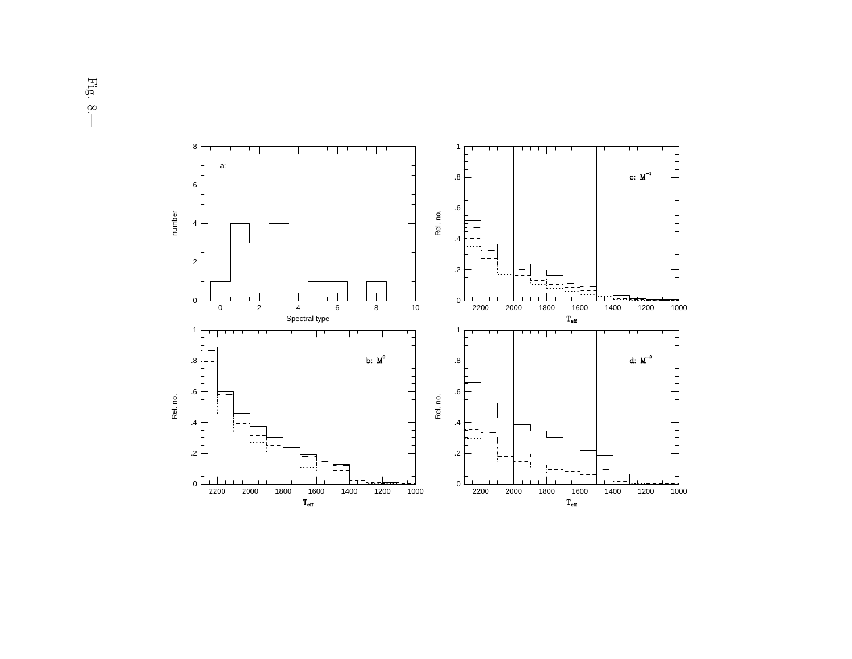